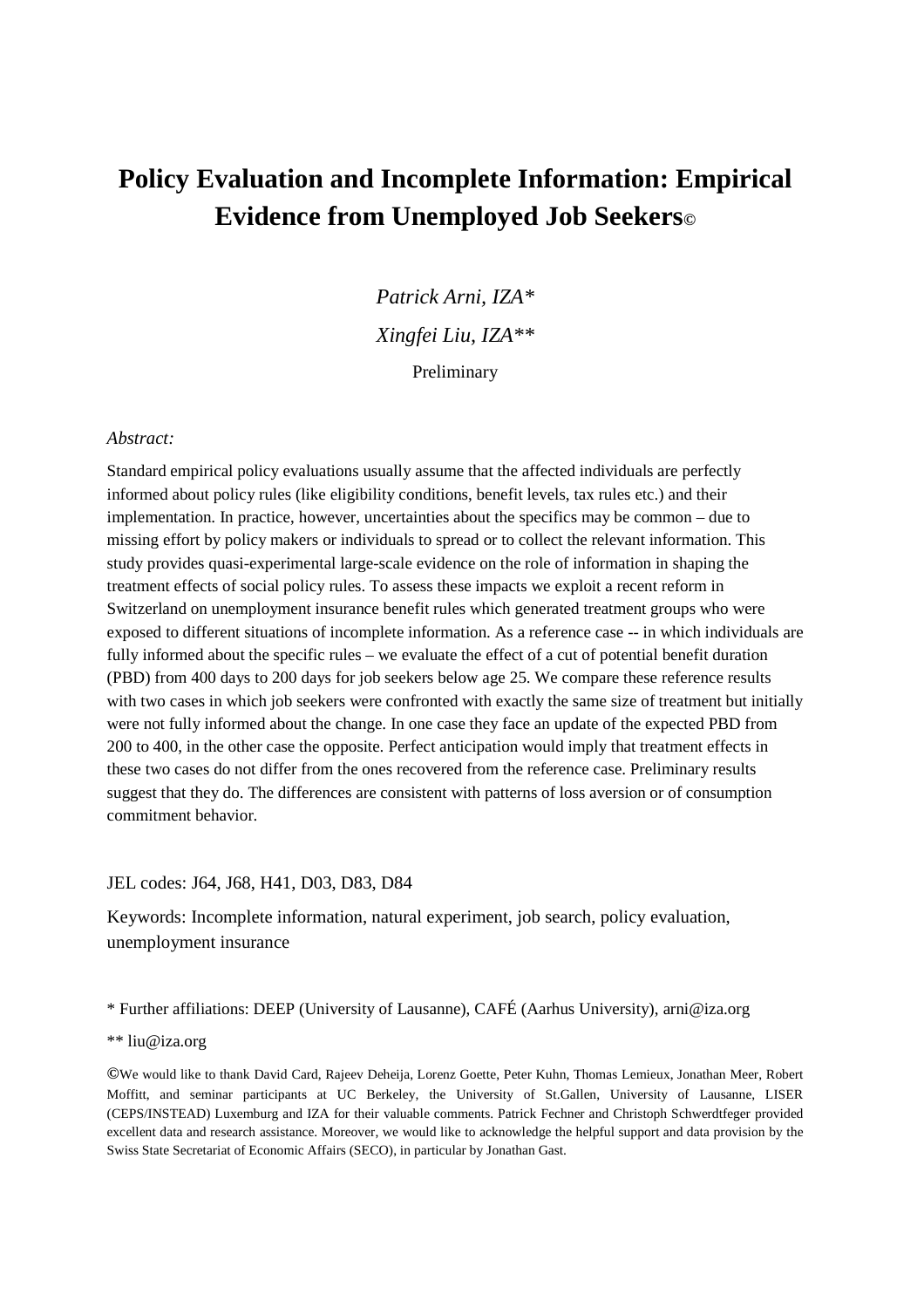# **Policy Evaluation and Incomplete Information: Empirical Evidence from Unemployed Job Seekers©**

*Patrick Arni, IZA\* Xingfei Liu, IZA\*\**  Preliminary

#### *Abstract:*

Standard empirical policy evaluations usually assume that the affected individuals are perfectly informed about policy rules (like eligibility conditions, benefit levels, tax rules etc.) and their implementation. In practice, however, uncertainties about the specifics may be common – due to missing effort by policy makers or individuals to spread or to collect the relevant information. This study provides quasi-experimental large-scale evidence on the role of information in shaping the treatment effects of social policy rules. To assess these impacts we exploit a recent reform in Switzerland on unemployment insurance benefit rules which generated treatment groups who were exposed to different situations of incomplete information. As a reference case -- in which individuals are fully informed about the specific rules – we evaluate the effect of a cut of potential benefit duration (PBD) from 400 days to 200 days for job seekers below age 25. We compare these reference results with two cases in which job seekers were confronted with exactly the same size of treatment but initially were not fully informed about the change. In one case they face an update of the expected PBD from 200 to 400, in the other case the opposite. Perfect anticipation would imply that treatment effects in these two cases do not differ from the ones recovered from the reference case. Preliminary results suggest that they do. The differences are consistent with patterns of loss aversion or of consumption commitment behavior.

#### JEL codes: J64, J68, H41, D03, D83, D84

Keywords: Incomplete information, natural experiment, job search, policy evaluation, unemployment insurance

\* Further affiliations: DEEP (University of Lausanne), CAFÉ (Aarhus University), arni@iza.org

\*\* liu@iza.org

**©**We would like to thank David Card, Rajeev Deheija, Lorenz Goette, Peter Kuhn, Thomas Lemieux, Jonathan Meer, Robert Moffitt, and seminar participants at UC Berkeley, the University of St.Gallen, University of Lausanne, LISER (CEPS/INSTEAD) Luxemburg and IZA for their valuable comments. Patrick Fechner and Christoph Schwerdtfeger provided excellent data and research assistance. Moreover, we would like to acknowledge the helpful support and data provision by the Swiss State Secretariat of Economic Affairs (SECO), in particular by Jonathan Gast.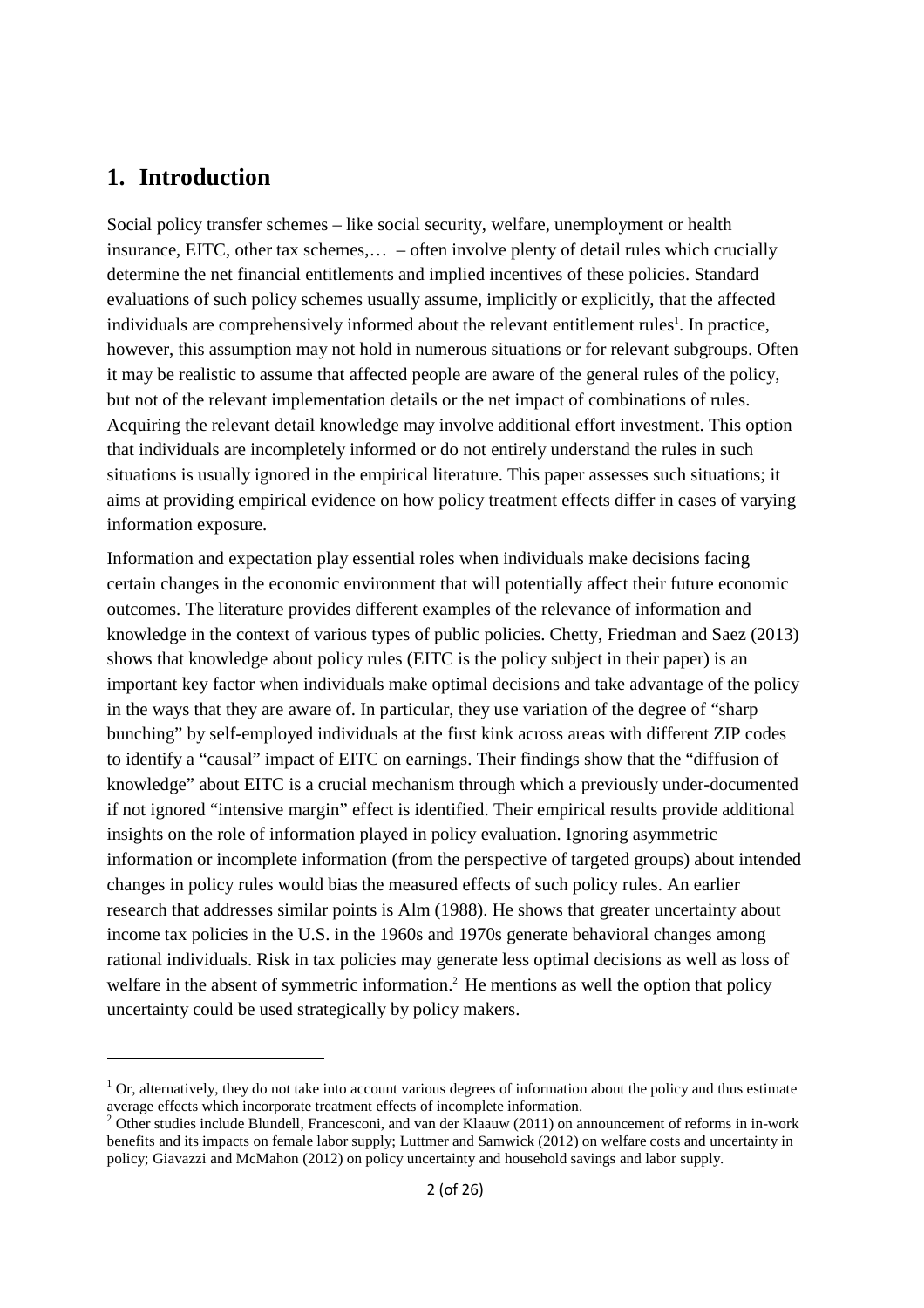### **1. Introduction**

-

Social policy transfer schemes – like social security, welfare, unemployment or health insurance, EITC, other tax schemes,… – often involve plenty of detail rules which crucially determine the net financial entitlements and implied incentives of these policies. Standard evaluations of such policy schemes usually assume, implicitly or explicitly, that the affected individuals are comprehensively informed about the relevant entitlement rules<sup>1</sup>. In practice, however, this assumption may not hold in numerous situations or for relevant subgroups. Often it may be realistic to assume that affected people are aware of the general rules of the policy, but not of the relevant implementation details or the net impact of combinations of rules. Acquiring the relevant detail knowledge may involve additional effort investment. This option that individuals are incompletely informed or do not entirely understand the rules in such situations is usually ignored in the empirical literature. This paper assesses such situations; it aims at providing empirical evidence on how policy treatment effects differ in cases of varying information exposure.

Information and expectation play essential roles when individuals make decisions facing certain changes in the economic environment that will potentially affect their future economic outcomes. The literature provides different examples of the relevance of information and knowledge in the context of various types of public policies. Chetty, Friedman and Saez (2013) shows that knowledge about policy rules (EITC is the policy subject in their paper) is an important key factor when individuals make optimal decisions and take advantage of the policy in the ways that they are aware of. In particular, they use variation of the degree of "sharp bunching" by self-employed individuals at the first kink across areas with different ZIP codes to identify a "causal" impact of EITC on earnings. Their findings show that the "diffusion of knowledge" about EITC is a crucial mechanism through which a previously under-documented if not ignored "intensive margin" effect is identified. Their empirical results provide additional insights on the role of information played in policy evaluation. Ignoring asymmetric information or incomplete information (from the perspective of targeted groups) about intended changes in policy rules would bias the measured effects of such policy rules. An earlier research that addresses similar points is Alm (1988). He shows that greater uncertainty about income tax policies in the U.S. in the 1960s and 1970s generate behavioral changes among rational individuals. Risk in tax policies may generate less optimal decisions as well as loss of welfare in the absent of symmetric information.<sup>2</sup> He mentions as well the option that policy uncertainty could be used strategically by policy makers.

 $1$  Or, alternatively, they do not take into account various degrees of information about the policy and thus estimate average effects which incorporate treatment effects of incomplete information.

<sup>&</sup>lt;sup>2</sup> Other studies include Blundell, Francesconi, and van der Klaauw (2011) on announcement of reforms in in-work benefits and its impacts on female labor supply; Luttmer and Samwick (2012) on welfare costs and uncertainty in policy; Giavazzi and McMahon (2012) on policy uncertainty and household savings and labor supply.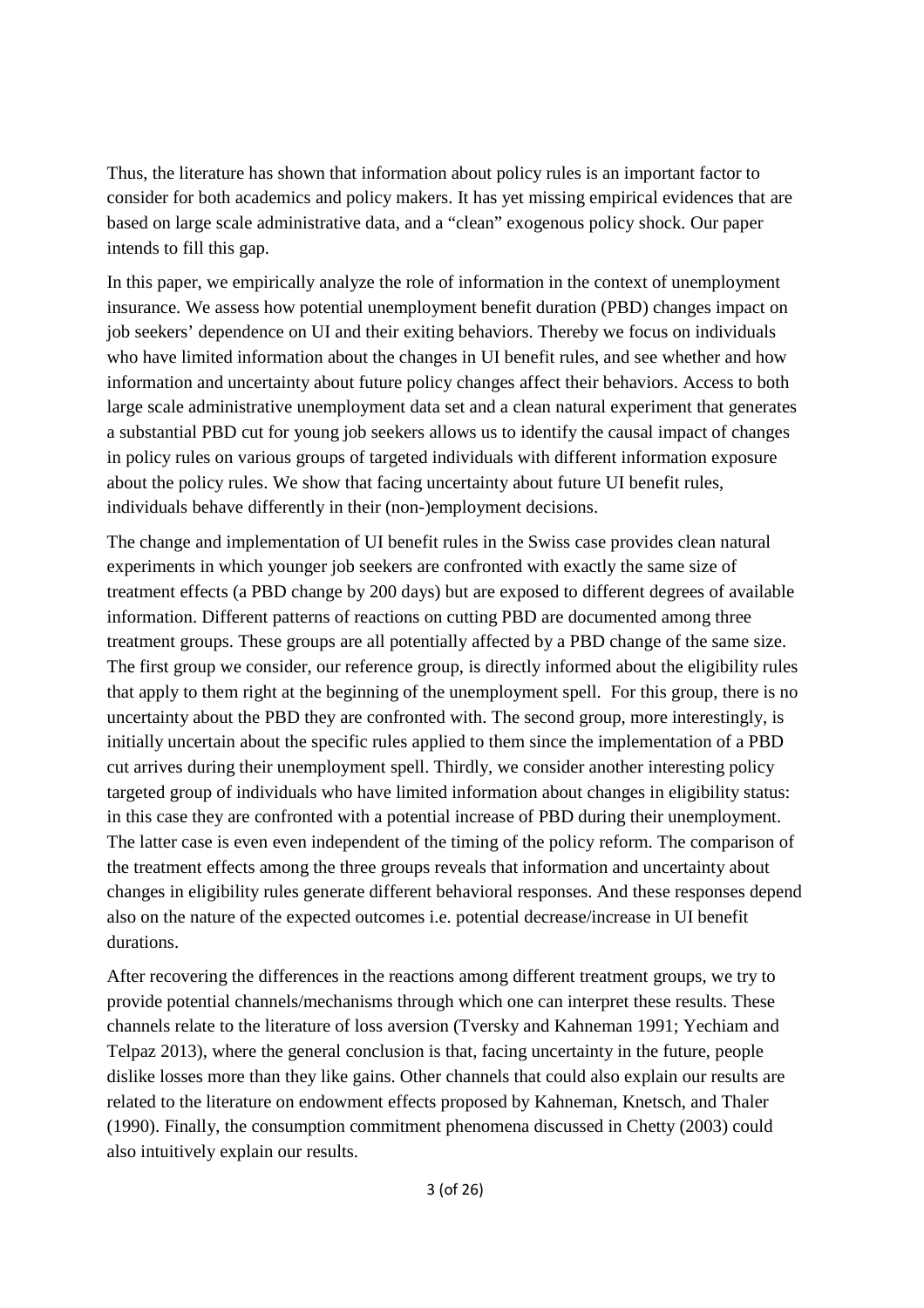Thus, the literature has shown that information about policy rules is an important factor to consider for both academics and policy makers. It has yet missing empirical evidences that are based on large scale administrative data, and a "clean" exogenous policy shock. Our paper intends to fill this gap.

In this paper, we empirically analyze the role of information in the context of unemployment insurance. We assess how potential unemployment benefit duration (PBD) changes impact on job seekers' dependence on UI and their exiting behaviors. Thereby we focus on individuals who have limited information about the changes in UI benefit rules, and see whether and how information and uncertainty about future policy changes affect their behaviors. Access to both large scale administrative unemployment data set and a clean natural experiment that generates a substantial PBD cut for young job seekers allows us to identify the causal impact of changes in policy rules on various groups of targeted individuals with different information exposure about the policy rules. We show that facing uncertainty about future UI benefit rules, individuals behave differently in their (non-)employment decisions.

The change and implementation of UI benefit rules in the Swiss case provides clean natural experiments in which younger job seekers are confronted with exactly the same size of treatment effects (a PBD change by 200 days) but are exposed to different degrees of available information. Different patterns of reactions on cutting PBD are documented among three treatment groups. These groups are all potentially affected by a PBD change of the same size. The first group we consider, our reference group, is directly informed about the eligibility rules that apply to them right at the beginning of the unemployment spell. For this group, there is no uncertainty about the PBD they are confronted with. The second group, more interestingly, is initially uncertain about the specific rules applied to them since the implementation of a PBD cut arrives during their unemployment spell. Thirdly, we consider another interesting policy targeted group of individuals who have limited information about changes in eligibility status: in this case they are confronted with a potential increase of PBD during their unemployment. The latter case is even even independent of the timing of the policy reform. The comparison of the treatment effects among the three groups reveals that information and uncertainty about changes in eligibility rules generate different behavioral responses. And these responses depend also on the nature of the expected outcomes i.e. potential decrease/increase in UI benefit durations.

After recovering the differences in the reactions among different treatment groups, we try to provide potential channels/mechanisms through which one can interpret these results. These channels relate to the literature of loss aversion (Tversky and Kahneman 1991; Yechiam and Telpaz 2013), where the general conclusion is that, facing uncertainty in the future, people dislike losses more than they like gains. Other channels that could also explain our results are related to the literature on endowment effects proposed by Kahneman, Knetsch, and Thaler (1990). Finally, the consumption commitment phenomena discussed in Chetty (2003) could also intuitively explain our results.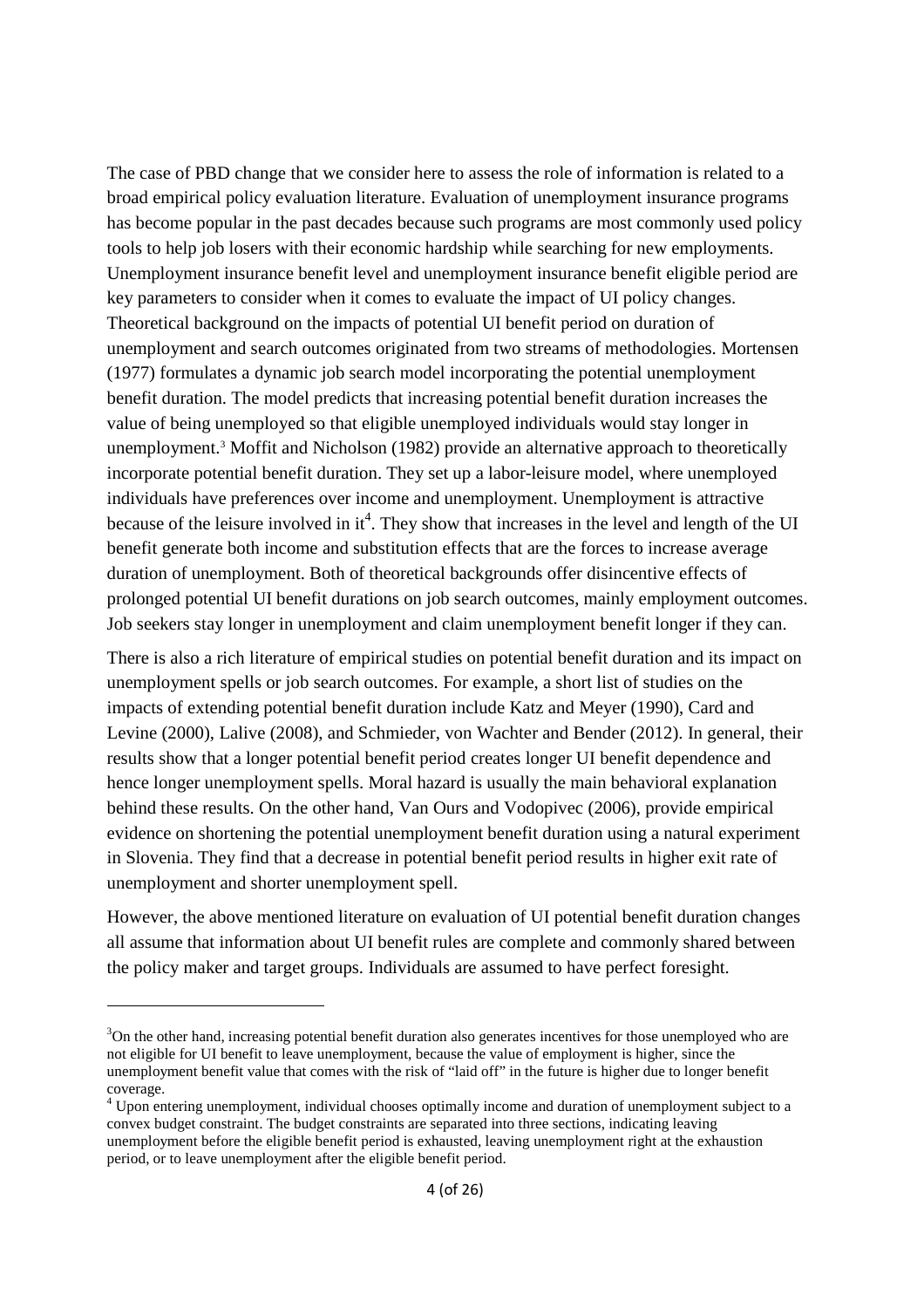The case of PBD change that we consider here to assess the role of information is related to a broad empirical policy evaluation literature. Evaluation of unemployment insurance programs has become popular in the past decades because such programs are most commonly used policy tools to help job losers with their economic hardship while searching for new employments. Unemployment insurance benefit level and unemployment insurance benefit eligible period are key parameters to consider when it comes to evaluate the impact of UI policy changes. Theoretical background on the impacts of potential UI benefit period on duration of unemployment and search outcomes originated from two streams of methodologies. Mortensen (1977) formulates a dynamic job search model incorporating the potential unemployment benefit duration. The model predicts that increasing potential benefit duration increases the value of being unemployed so that eligible unemployed individuals would stay longer in unemployment.<sup>3</sup> Moffit and Nicholson (1982) provide an alternative approach to theoretically incorporate potential benefit duration. They set up a labor-leisure model, where unemployed individuals have preferences over income and unemployment. Unemployment is attractive because of the leisure involved in it<sup>4</sup>. They show that increases in the level and length of the UI benefit generate both income and substitution effects that are the forces to increase average duration of unemployment. Both of theoretical backgrounds offer disincentive effects of prolonged potential UI benefit durations on job search outcomes, mainly employment outcomes. Job seekers stay longer in unemployment and claim unemployment benefit longer if they can.

There is also a rich literature of empirical studies on potential benefit duration and its impact on unemployment spells or job search outcomes. For example, a short list of studies on the impacts of extending potential benefit duration include Katz and Meyer (1990), Card and Levine (2000), Lalive (2008), and Schmieder, von Wachter and Bender (2012). In general, their results show that a longer potential benefit period creates longer UI benefit dependence and hence longer unemployment spells. Moral hazard is usually the main behavioral explanation behind these results. On the other hand, Van Ours and Vodopivec (2006), provide empirical evidence on shortening the potential unemployment benefit duration using a natural experiment in Slovenia. They find that a decrease in potential benefit period results in higher exit rate of unemployment and shorter unemployment spell.

However, the above mentioned literature on evaluation of UI potential benefit duration changes all assume that information about UI benefit rules are complete and commonly shared between the policy maker and target groups. Individuals are assumed to have perfect foresight.

 $3$ On the other hand, increasing potential benefit duration also generates incentives for those unemployed who are not eligible for UI benefit to leave unemployment, because the value of employment is higher, since the unemployment benefit value that comes with the risk of "laid off" in the future is higher due to longer benefit coverage.

<sup>&</sup>lt;sup>4</sup> Upon entering unemployment, individual chooses optimally income and duration of unemployment subject to a convex budget constraint. The budget constraints are separated into three sections, indicating leaving unemployment before the eligible benefit period is exhausted, leaving unemployment right at the exhaustion period, or to leave unemployment after the eligible benefit period.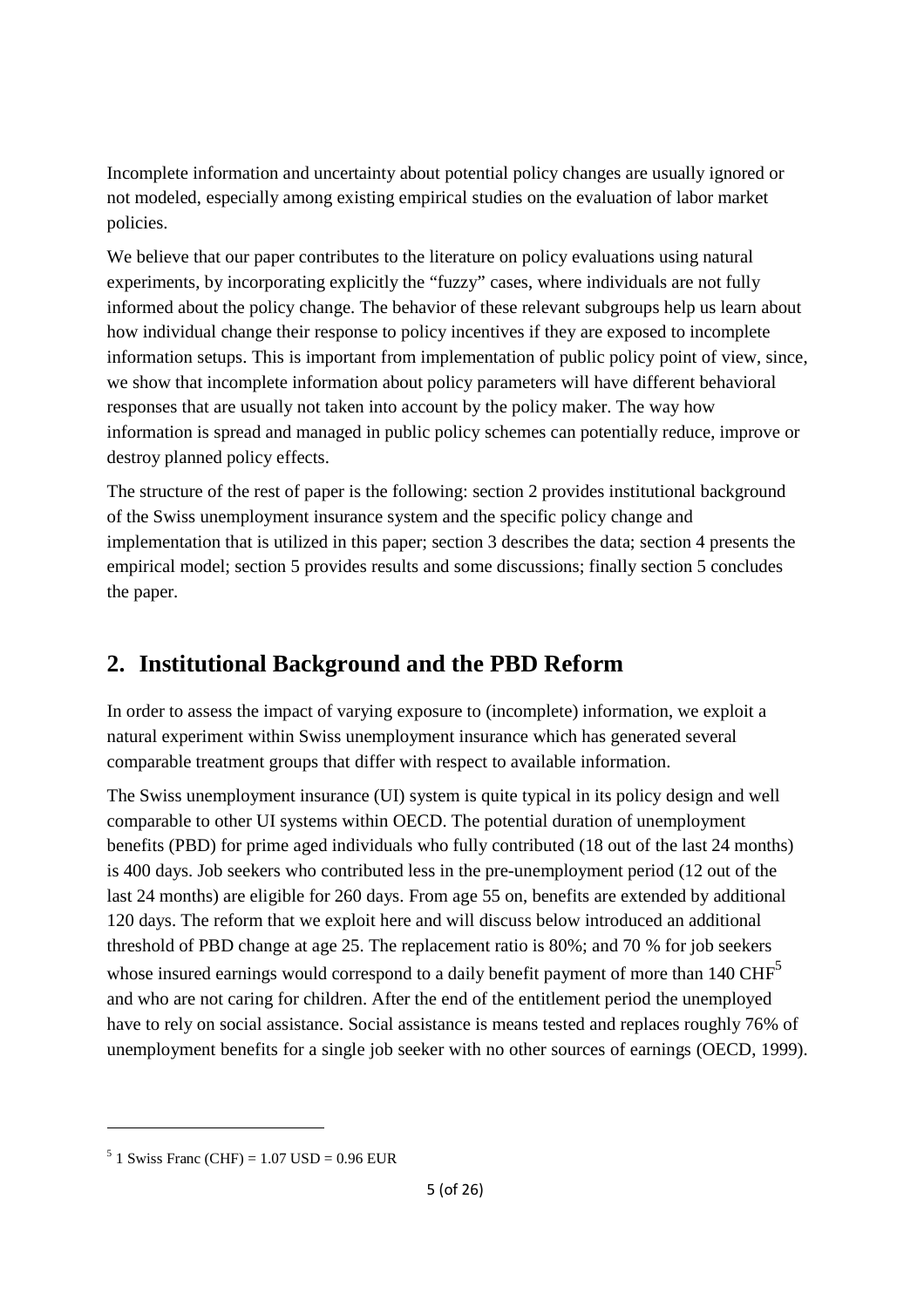Incomplete information and uncertainty about potential policy changes are usually ignored or not modeled, especially among existing empirical studies on the evaluation of labor market policies.

We believe that our paper contributes to the literature on policy evaluations using natural experiments, by incorporating explicitly the "fuzzy" cases, where individuals are not fully informed about the policy change. The behavior of these relevant subgroups help us learn about how individual change their response to policy incentives if they are exposed to incomplete information setups. This is important from implementation of public policy point of view, since, we show that incomplete information about policy parameters will have different behavioral responses that are usually not taken into account by the policy maker. The way how information is spread and managed in public policy schemes can potentially reduce, improve or destroy planned policy effects.

The structure of the rest of paper is the following: section 2 provides institutional background of the Swiss unemployment insurance system and the specific policy change and implementation that is utilized in this paper; section 3 describes the data; section 4 presents the empirical model; section 5 provides results and some discussions; finally section 5 concludes the paper.

## **2. Institutional Background and the PBD Reform**

In order to assess the impact of varying exposure to (incomplete) information, we exploit a natural experiment within Swiss unemployment insurance which has generated several comparable treatment groups that differ with respect to available information.

The Swiss unemployment insurance (UI) system is quite typical in its policy design and well comparable to other UI systems within OECD. The potential duration of unemployment benefits (PBD) for prime aged individuals who fully contributed (18 out of the last 24 months) is 400 days. Job seekers who contributed less in the pre-unemployment period (12 out of the last 24 months) are eligible for 260 days. From age 55 on, benefits are extended by additional 120 days. The reform that we exploit here and will discuss below introduced an additional threshold of PBD change at age 25. The replacement ratio is 80%; and 70 % for job seekers whose insured earnings would correspond to a daily benefit payment of more than  $140 \text{ CHF}^5$ and who are not caring for children. After the end of the entitlement period the unemployed have to rely on social assistance. Social assistance is means tested and replaces roughly 76% of unemployment benefits for a single job seeker with no other sources of earnings (OECD, 1999).

 $5$  1 Swiss Franc (CHF) = 1.07 USD = 0.96 EUR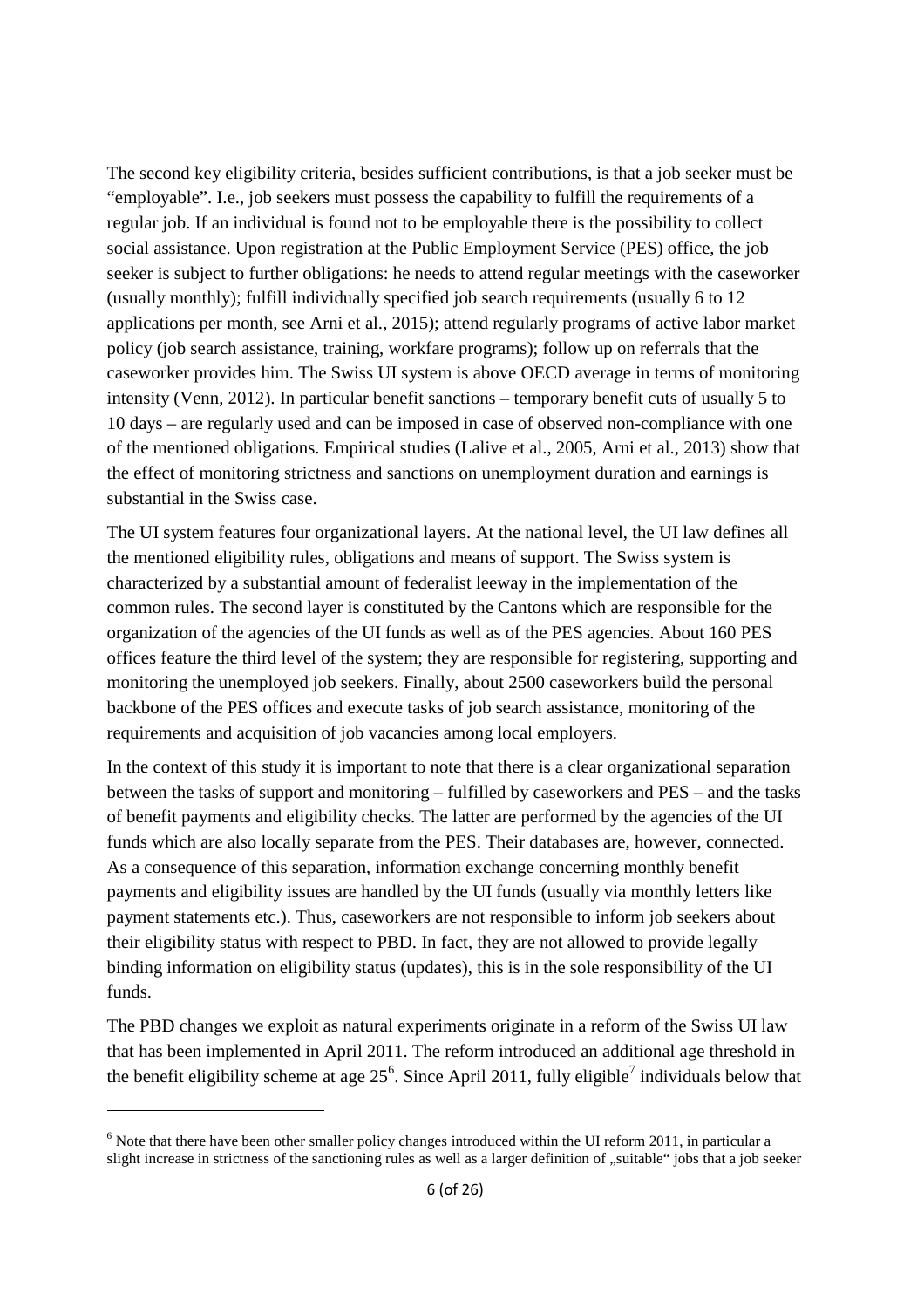The second key eligibility criteria, besides sufficient contributions, is that a job seeker must be "employable". I.e., job seekers must possess the capability to fulfill the requirements of a regular job. If an individual is found not to be employable there is the possibility to collect social assistance. Upon registration at the Public Employment Service (PES) office, the job seeker is subject to further obligations: he needs to attend regular meetings with the caseworker (usually monthly); fulfill individually specified job search requirements (usually 6 to 12 applications per month, see Arni et al., 2015); attend regularly programs of active labor market policy (job search assistance, training, workfare programs); follow up on referrals that the caseworker provides him. The Swiss UI system is above OECD average in terms of monitoring intensity (Venn, 2012). In particular benefit sanctions – temporary benefit cuts of usually 5 to 10 days – are regularly used and can be imposed in case of observed non-compliance with one of the mentioned obligations. Empirical studies (Lalive et al., 2005, Arni et al., 2013) show that the effect of monitoring strictness and sanctions on unemployment duration and earnings is substantial in the Swiss case.

The UI system features four organizational layers. At the national level, the UI law defines all the mentioned eligibility rules, obligations and means of support. The Swiss system is characterized by a substantial amount of federalist leeway in the implementation of the common rules. The second layer is constituted by the Cantons which are responsible for the organization of the agencies of the UI funds as well as of the PES agencies. About 160 PES offices feature the third level of the system; they are responsible for registering, supporting and monitoring the unemployed job seekers. Finally, about 2500 caseworkers build the personal backbone of the PES offices and execute tasks of job search assistance, monitoring of the requirements and acquisition of job vacancies among local employers.

In the context of this study it is important to note that there is a clear organizational separation between the tasks of support and monitoring – fulfilled by caseworkers and PES – and the tasks of benefit payments and eligibility checks. The latter are performed by the agencies of the UI funds which are also locally separate from the PES. Their databases are, however, connected. As a consequence of this separation, information exchange concerning monthly benefit payments and eligibility issues are handled by the UI funds (usually via monthly letters like payment statements etc.). Thus, caseworkers are not responsible to inform job seekers about their eligibility status with respect to PBD. In fact, they are not allowed to provide legally binding information on eligibility status (updates), this is in the sole responsibility of the UI funds.

The PBD changes we exploit as natural experiments originate in a reform of the Swiss UI law that has been implemented in April 2011. The reform introduced an additional age threshold in the benefit eligibility scheme at age  $25^6$ . Since April 2011, fully eligible<sup>7</sup> individuals below that

 $6$  Note that there have been other smaller policy changes introduced within the UI reform 2011, in particular a slight increase in strictness of the sanctioning rules as well as a larger definition of "suitable" jobs that a job seeker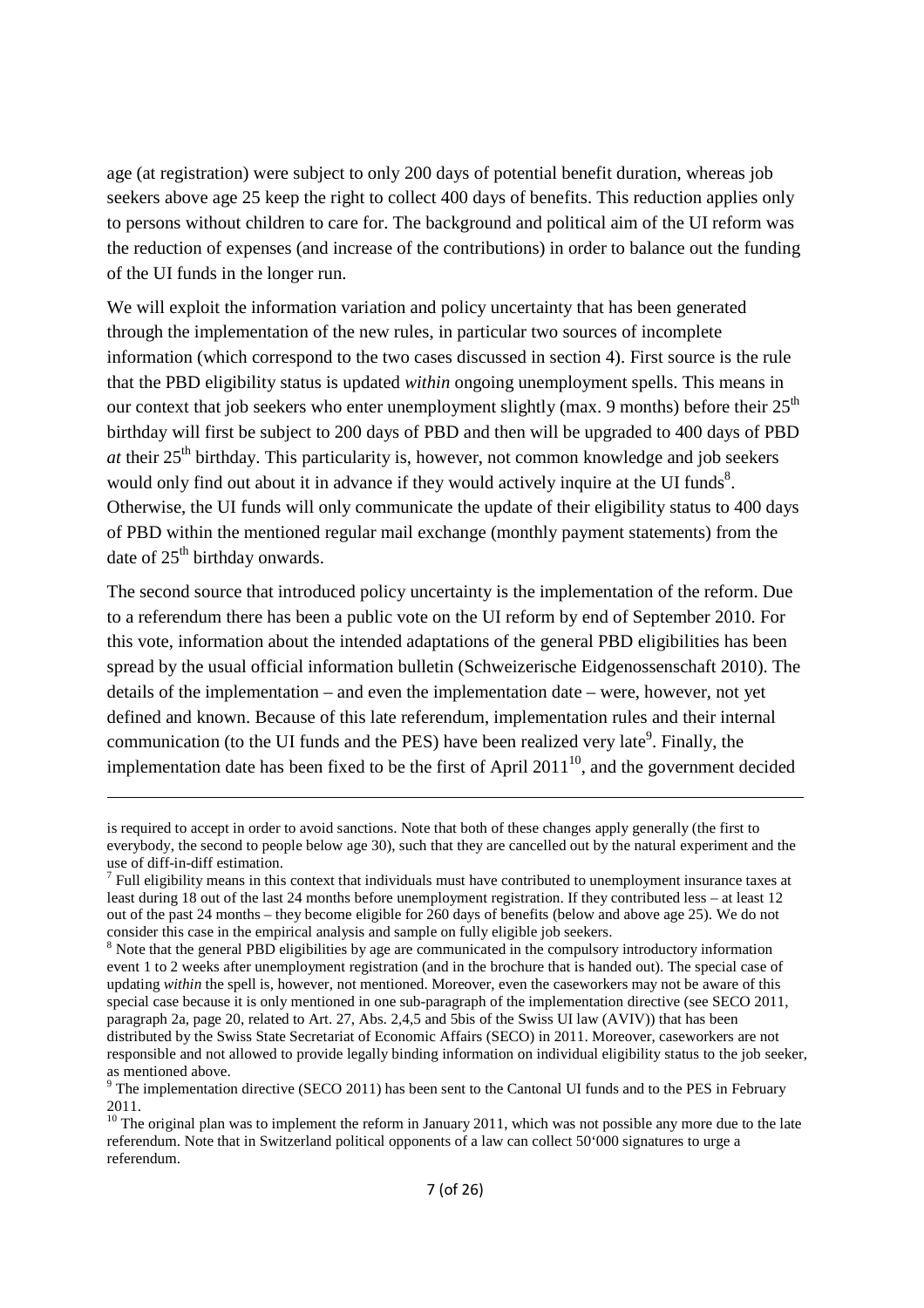age (at registration) were subject to only 200 days of potential benefit duration, whereas job seekers above age 25 keep the right to collect 400 days of benefits. This reduction applies only to persons without children to care for. The background and political aim of the UI reform was the reduction of expenses (and increase of the contributions) in order to balance out the funding of the UI funds in the longer run.

We will exploit the information variation and policy uncertainty that has been generated through the implementation of the new rules, in particular two sources of incomplete information (which correspond to the two cases discussed in section 4). First source is the rule that the PBD eligibility status is updated *within* ongoing unemployment spells. This means in our context that job seekers who enter unemployment slightly (max. 9 months) before their  $25<sup>th</sup>$ birthday will first be subject to 200 days of PBD and then will be upgraded to 400 days of PBD *at* their  $25<sup>th</sup>$  birthday. This particularity is, however, not common knowledge and job seekers would only find out about it in advance if they would actively inquire at the UI funds $8$ . Otherwise, the UI funds will only communicate the update of their eligibility status to 400 days of PBD within the mentioned regular mail exchange (monthly payment statements) from the date of  $25<sup>th</sup>$  birthday onwards.

The second source that introduced policy uncertainty is the implementation of the reform. Due to a referendum there has been a public vote on the UI reform by end of September 2010. For this vote, information about the intended adaptations of the general PBD eligibilities has been spread by the usual official information bulletin (Schweizerische Eidgenossenschaft 2010). The details of the implementation – and even the implementation date – were, however, not yet defined and known. Because of this late referendum, implementation rules and their internal communication (to the UI funds and the PES) have been realized very late<sup>9</sup>. Finally, the implementation date has been fixed to be the first of April  $2011^{10}$ , and the government decided

is required to accept in order to avoid sanctions. Note that both of these changes apply generally (the first to everybody, the second to people below age 30), such that they are cancelled out by the natural experiment and the use of diff-in-diff estimation.

 $<sup>7</sup>$  Full eligibility means in this context that individuals must have contributed to unemployment insurance taxes at</sup> least during 18 out of the last 24 months before unemployment registration. If they contributed less – at least 12 out of the past 24 months – they become eligible for 260 days of benefits (below and above age 25). We do not consider this case in the empirical analysis and sample on fully eligible job seekers.

<sup>&</sup>lt;sup>8</sup> Note that the general PBD eligibilities by age are communicated in the compulsory introductory information event 1 to 2 weeks after unemployment registration (and in the brochure that is handed out). The special case of updating *within* the spell is, however, not mentioned. Moreover, even the caseworkers may not be aware of this special case because it is only mentioned in one sub-paragraph of the implementation directive (see SECO 2011, paragraph 2a, page 20, related to Art. 27, Abs. 2,4,5 and 5bis of the Swiss UI law (AVIV)) that has been distributed by the Swiss State Secretariat of Economic Affairs (SECO) in 2011. Moreover, caseworkers are not responsible and not allowed to provide legally binding information on individual eligibility status to the job seeker, as mentioned above.

 $9$  The implementation directive (SECO 2011) has been sent to the Cantonal UI funds and to the PES in February 2011.

 $10$  The original plan was to implement the reform in January 2011, which was not possible any more due to the late referendum. Note that in Switzerland political opponents of a law can collect 50'000 signatures to urge a referendum.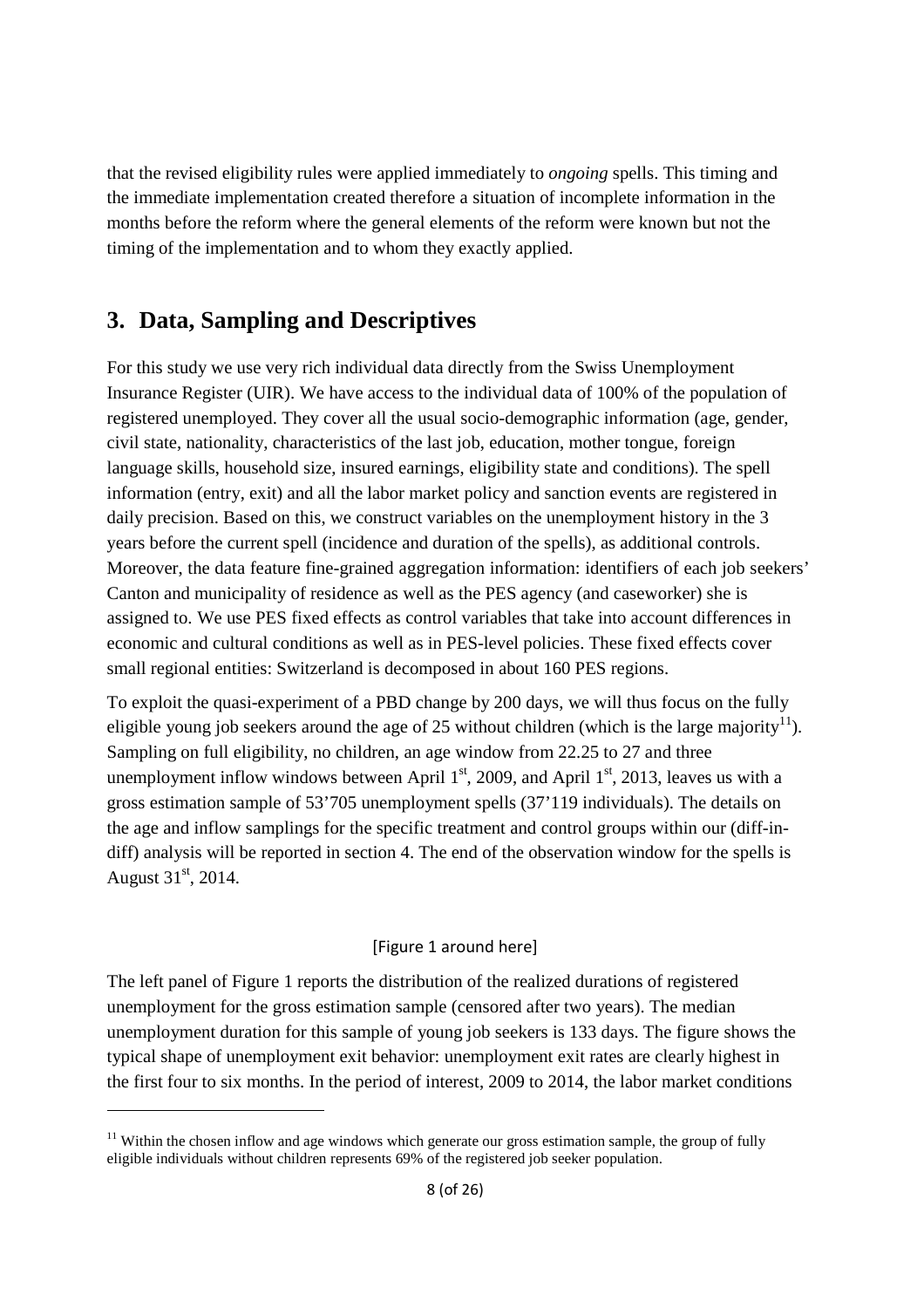that the revised eligibility rules were applied immediately to *ongoing* spells. This timing and the immediate implementation created therefore a situation of incomplete information in the months before the reform where the general elements of the reform were known but not the timing of the implementation and to whom they exactly applied.

## **3. Data, Sampling and Descriptives**

For this study we use very rich individual data directly from the Swiss Unemployment Insurance Register (UIR). We have access to the individual data of 100% of the population of registered unemployed. They cover all the usual socio-demographic information (age, gender, civil state, nationality, characteristics of the last job, education, mother tongue, foreign language skills, household size, insured earnings, eligibility state and conditions). The spell information (entry, exit) and all the labor market policy and sanction events are registered in daily precision. Based on this, we construct variables on the unemployment history in the 3 years before the current spell (incidence and duration of the spells), as additional controls. Moreover, the data feature fine-grained aggregation information: identifiers of each job seekers' Canton and municipality of residence as well as the PES agency (and caseworker) she is assigned to. We use PES fixed effects as control variables that take into account differences in economic and cultural conditions as well as in PES-level policies. These fixed effects cover small regional entities: Switzerland is decomposed in about 160 PES regions.

To exploit the quasi-experiment of a PBD change by 200 days, we will thus focus on the fully eligible young job seekers around the age of 25 without children (which is the large majority<sup>11</sup>). Sampling on full eligibility, no children, an age window from 22.25 to 27 and three unemployment inflow windows between April  $1<sup>st</sup>$ , 2009, and April  $1<sup>st</sup>$ , 2013, leaves us with a gross estimation sample of 53'705 unemployment spells (37'119 individuals). The details on the age and inflow samplings for the specific treatment and control groups within our (diff-indiff) analysis will be reported in section 4. The end of the observation window for the spells is August  $31^{\text{st}}$ , 2014.

#### [Figure 1 around here]

The left panel of Figure 1 reports the distribution of the realized durations of registered unemployment for the gross estimation sample (censored after two years). The median unemployment duration for this sample of young job seekers is 133 days. The figure shows the typical shape of unemployment exit behavior: unemployment exit rates are clearly highest in the first four to six months. In the period of interest, 2009 to 2014, the labor market conditions

 $11$  Within the chosen inflow and age windows which generate our gross estimation sample, the group of fully eligible individuals without children represents 69% of the registered job seeker population.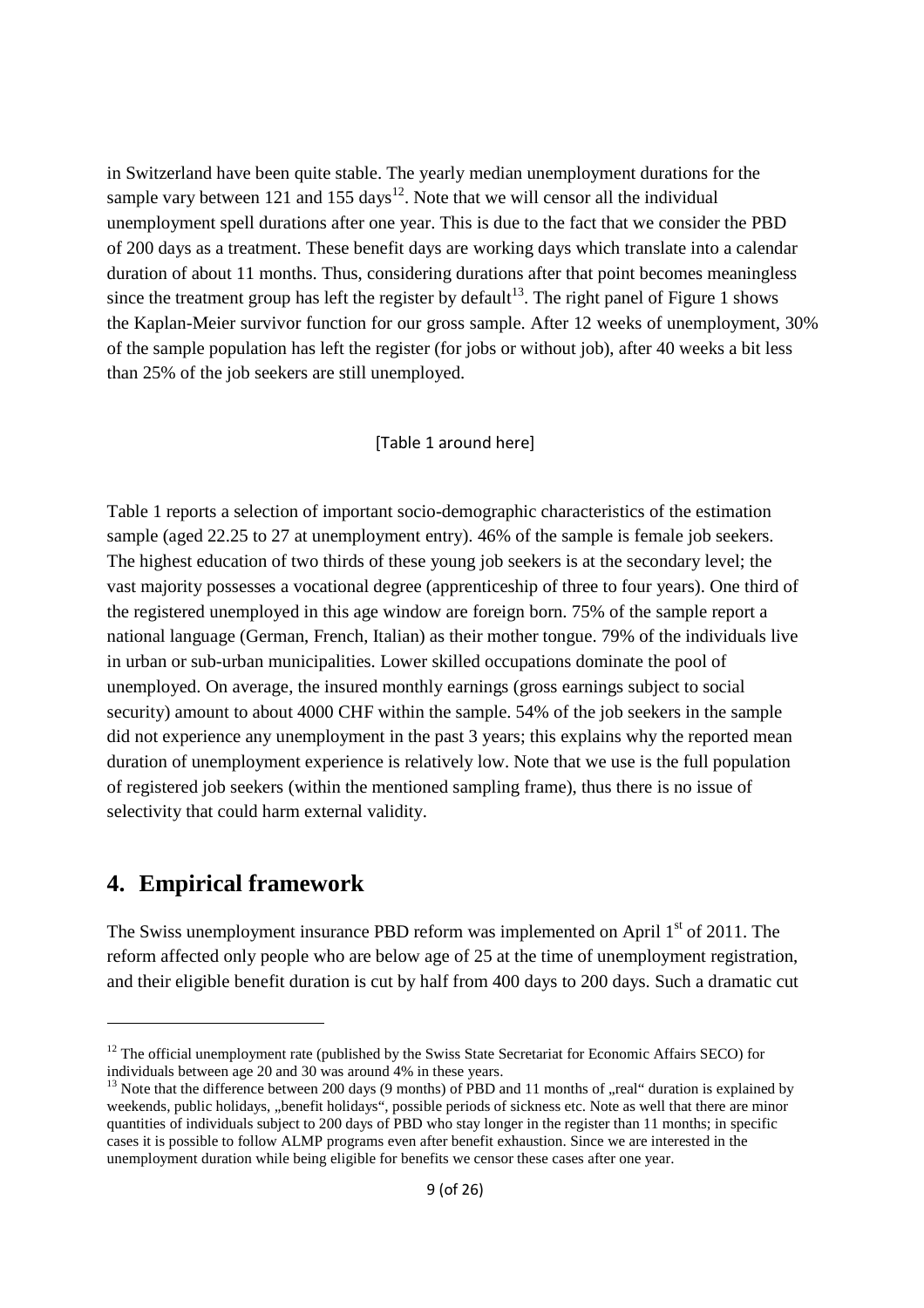in Switzerland have been quite stable. The yearly median unemployment durations for the sample vary between 121 and 155 days<sup>12</sup>. Note that we will censor all the individual unemployment spell durations after one year. This is due to the fact that we consider the PBD of 200 days as a treatment. These benefit days are working days which translate into a calendar duration of about 11 months. Thus, considering durations after that point becomes meaningless since the treatment group has left the register by default<sup>13</sup>. The right panel of Figure 1 shows the Kaplan-Meier survivor function for our gross sample. After 12 weeks of unemployment, 30% of the sample population has left the register (for jobs or without job), after 40 weeks a bit less than 25% of the job seekers are still unemployed.

### [Table 1 around here]

Table 1 reports a selection of important socio-demographic characteristics of the estimation sample (aged 22.25 to 27 at unemployment entry). 46% of the sample is female job seekers. The highest education of two thirds of these young job seekers is at the secondary level; the vast majority possesses a vocational degree (apprenticeship of three to four years). One third of the registered unemployed in this age window are foreign born. 75% of the sample report a national language (German, French, Italian) as their mother tongue. 79% of the individuals live in urban or sub-urban municipalities. Lower skilled occupations dominate the pool of unemployed. On average, the insured monthly earnings (gross earnings subject to social security) amount to about 4000 CHF within the sample. 54% of the job seekers in the sample did not experience any unemployment in the past 3 years; this explains why the reported mean duration of unemployment experience is relatively low. Note that we use is the full population of registered job seekers (within the mentioned sampling frame), thus there is no issue of selectivity that could harm external validity.

### **4. Empirical framework**

-

The Swiss unemployment insurance PBD reform was implemented on April 1<sup>st</sup> of 2011. The reform affected only people who are below age of 25 at the time of unemployment registration, and their eligible benefit duration is cut by half from 400 days to 200 days. Such a dramatic cut

 $12$  The official unemployment rate (published by the Swiss State Secretariat for Economic Affairs SECO) for individuals between age 20 and 30 was around 4% in these years.

<sup>&</sup>lt;sup>13</sup> Note that the difference between 200 days (9 months) of PBD and 11 months of "real" duration is explained by weekends, public holidays, "benefit holidays", possible periods of sickness etc. Note as well that there are minor quantities of individuals subject to 200 days of PBD who stay longer in the register than 11 months; in specific cases it is possible to follow ALMP programs even after benefit exhaustion. Since we are interested in the unemployment duration while being eligible for benefits we censor these cases after one year.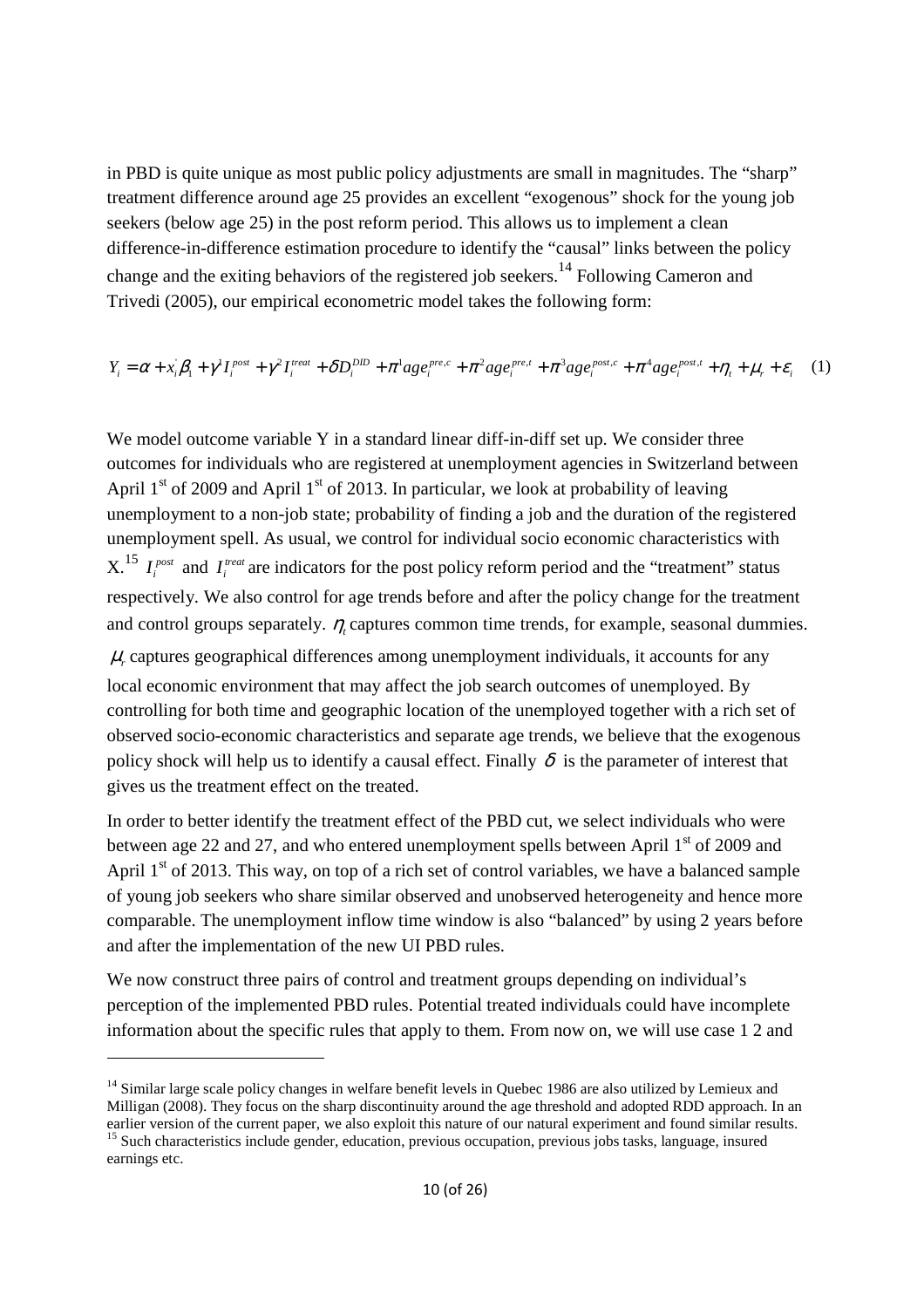in PBD is quite unique as most public policy adjustments are small in magnitudes. The "sharp" treatment difference around age 25 provides an excellent "exogenous" shock for the young job seekers (below age 25) in the post reform period. This allows us to implement a clean difference-in-difference estimation procedure to identify the "causal" links between the policy change and the exiting behaviors of the registered job seekers.<sup>14</sup> Following Cameron and Trivedi (2005), our empirical econometric model takes the following form:

$$
Y_i = \alpha + x_i \beta_1 + \gamma^l I_i^{post} + \gamma^2 I_i^{treat} + \delta D_i^{DD} + \pi^l age_i^{pre,c} + \pi^2 age_i^{pre,t} + \pi^3 age_i^{post,c} + \pi^4 age_i^{post,t} + \eta_t + \mu_r + \varepsilon_i \tag{1}
$$

We model outcome variable Y in a standard linear diff-in-diff set up. We consider three outcomes for individuals who are registered at unemployment agencies in Switzerland between April  $1<sup>st</sup>$  of 2009 and April  $1<sup>st</sup>$  of 2013. In particular, we look at probability of leaving unemployment to a non-job state; probability of finding a job and the duration of the registered unemployment spell. As usual, we control for individual socio economic characteristics with  $X^{15}$   $I^{post}_i$  and  $I^{treat}_i$  are indicators for the post policy reform period and the "treatment" status respectively. We also control for age trends before and after the policy change for the treatment and control groups separately.  $\eta_t$  captures common time trends, for example, seasonal dummies.  $\mu$ , captures geographical differences among unemployment individuals, it accounts for any local economic environment that may affect the job search outcomes of unemployed. By controlling for both time and geographic location of the unemployed together with a rich set of observed socio-economic characteristics and separate age trends, we believe that the exogenous policy shock will help us to identify a causal effect. Finally  $\delta$  is the parameter of interest that gives us the treatment effect on the treated.

In order to better identify the treatment effect of the PBD cut, we select individuals who were between age 22 and 27, and who entered unemployment spells between April  $1<sup>st</sup>$  of 2009 and April  $1<sup>st</sup>$  of 2013. This way, on top of a rich set of control variables, we have a balanced sample of young job seekers who share similar observed and unobserved heterogeneity and hence more comparable. The unemployment inflow time window is also "balanced" by using 2 years before and after the implementation of the new UI PBD rules.

We now construct three pairs of control and treatment groups depending on individual's perception of the implemented PBD rules. Potential treated individuals could have incomplete information about the specific rules that apply to them. From now on, we will use case 1 2 and

-

<sup>&</sup>lt;sup>14</sup> Similar large scale policy changes in welfare benefit levels in Quebec 1986 are also utilized by Lemieux and Milligan (2008). They focus on the sharp discontinuity around the age threshold and adopted RDD approach. In an earlier version of the current paper, we also exploit this nature of our natural experiment and found similar results. <sup>15</sup> Such characteristics include gender, education, previous occupation, previous jobs tasks, language, insured earnings etc.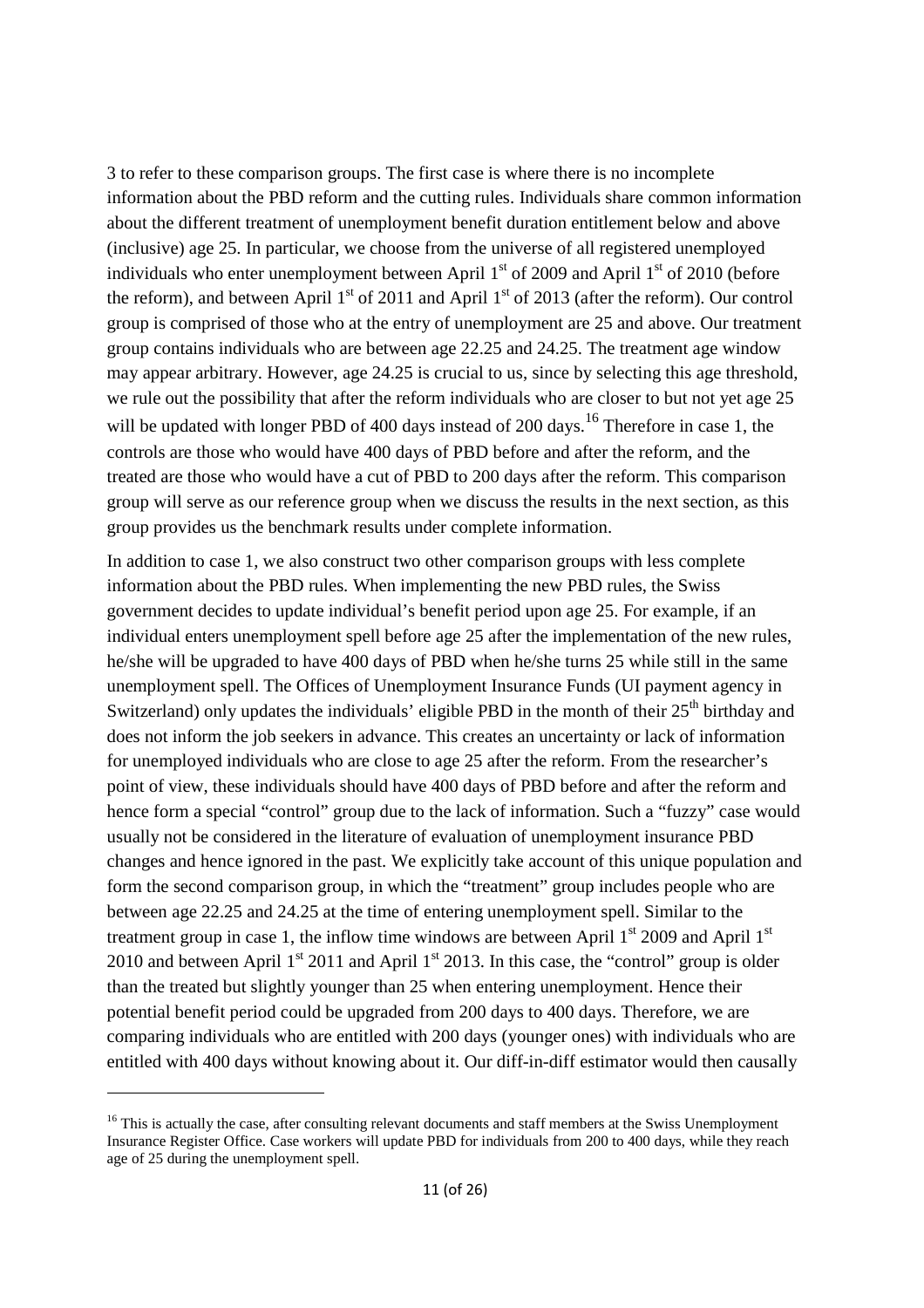3 to refer to these comparison groups. The first case is where there is no incomplete information about the PBD reform and the cutting rules. Individuals share common information about the different treatment of unemployment benefit duration entitlement below and above (inclusive) age 25. In particular, we choose from the universe of all registered unemployed individuals who enter unemployment between April  $1<sup>st</sup>$  of 2009 and April  $1<sup>st</sup>$  of 2010 (before the reform), and between April  $1<sup>st</sup>$  of 2011 and April  $1<sup>st</sup>$  of 2013 (after the reform). Our control group is comprised of those who at the entry of unemployment are 25 and above. Our treatment group contains individuals who are between age 22.25 and 24.25. The treatment age window may appear arbitrary. However, age 24.25 is crucial to us, since by selecting this age threshold, we rule out the possibility that after the reform individuals who are closer to but not yet age 25 will be updated with longer PBD of 400 days instead of 200 days.<sup>16</sup> Therefore in case 1, the controls are those who would have 400 days of PBD before and after the reform, and the treated are those who would have a cut of PBD to 200 days after the reform. This comparison group will serve as our reference group when we discuss the results in the next section, as this group provides us the benchmark results under complete information.

In addition to case 1, we also construct two other comparison groups with less complete information about the PBD rules. When implementing the new PBD rules, the Swiss government decides to update individual's benefit period upon age 25. For example, if an individual enters unemployment spell before age 25 after the implementation of the new rules, he/she will be upgraded to have 400 days of PBD when he/she turns 25 while still in the same unemployment spell. The Offices of Unemployment Insurance Funds (UI payment agency in Switzerland) only updates the individuals' eligible PBD in the month of their  $25<sup>th</sup>$  birthday and does not inform the job seekers in advance. This creates an uncertainty or lack of information for unemployed individuals who are close to age 25 after the reform. From the researcher's point of view, these individuals should have 400 days of PBD before and after the reform and hence form a special "control" group due to the lack of information. Such a "fuzzy" case would usually not be considered in the literature of evaluation of unemployment insurance PBD changes and hence ignored in the past. We explicitly take account of this unique population and form the second comparison group, in which the "treatment" group includes people who are between age 22.25 and 24.25 at the time of entering unemployment spell. Similar to the treatment group in case 1, the inflow time windows are between April  $1<sup>st</sup>$  2009 and April  $1<sup>st</sup>$ 2010 and between April  $1<sup>st</sup>$  2011 and April  $1<sup>st</sup>$  2013. In this case, the "control" group is older than the treated but slightly younger than 25 when entering unemployment. Hence their potential benefit period could be upgraded from 200 days to 400 days. Therefore, we are comparing individuals who are entitled with 200 days (younger ones) with individuals who are entitled with 400 days without knowing about it. Our diff-in-diff estimator would then causally

-

<sup>&</sup>lt;sup>16</sup> This is actually the case, after consulting relevant documents and staff members at the Swiss Unemployment Insurance Register Office. Case workers will update PBD for individuals from 200 to 400 days, while they reach age of 25 during the unemployment spell.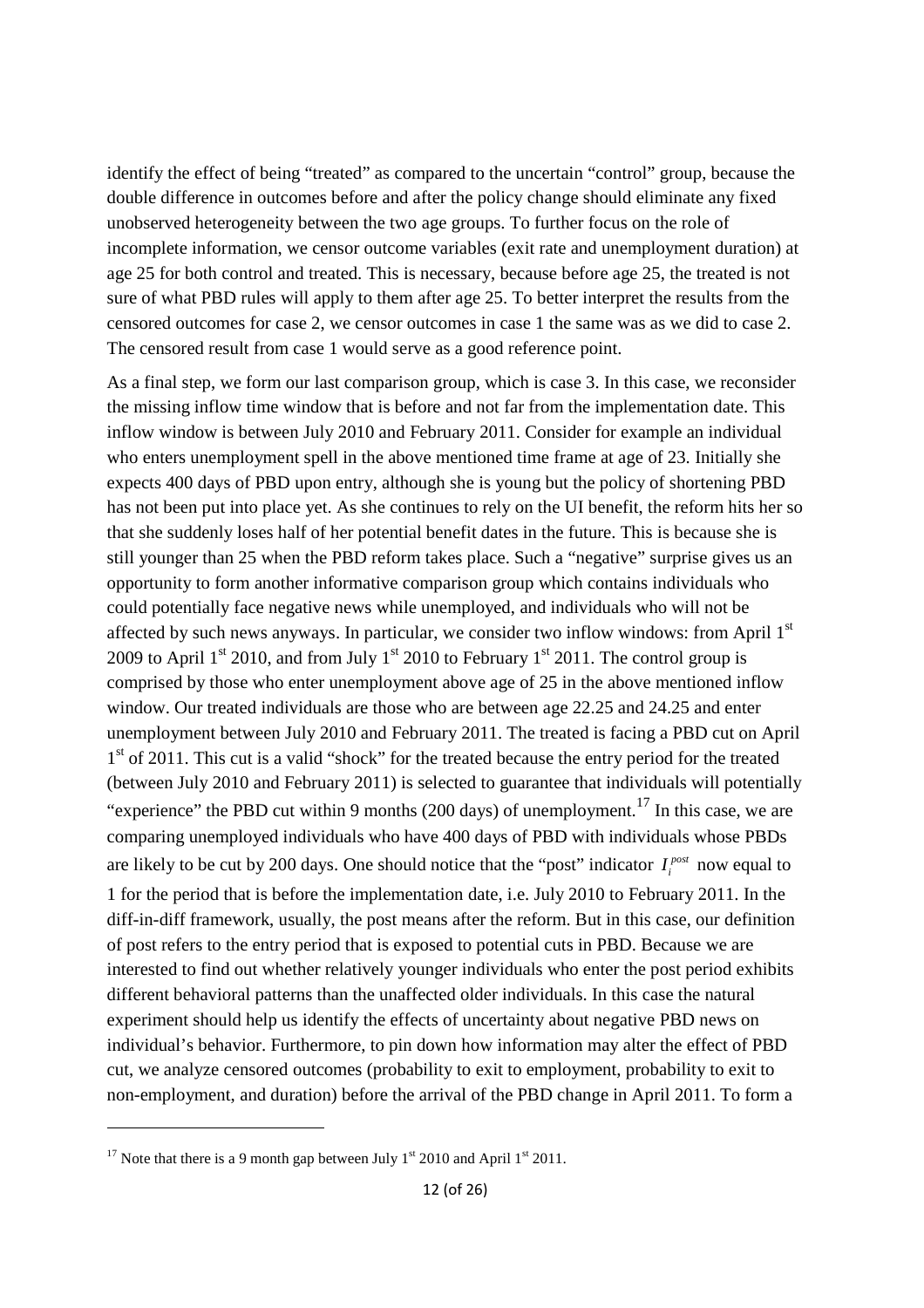identify the effect of being "treated" as compared to the uncertain "control" group, because the double difference in outcomes before and after the policy change should eliminate any fixed unobserved heterogeneity between the two age groups. To further focus on the role of incomplete information, we censor outcome variables (exit rate and unemployment duration) at age 25 for both control and treated. This is necessary, because before age 25, the treated is not sure of what PBD rules will apply to them after age 25. To better interpret the results from the censored outcomes for case 2, we censor outcomes in case 1 the same was as we did to case 2. The censored result from case 1 would serve as a good reference point.

As a final step, we form our last comparison group, which is case 3. In this case, we reconsider the missing inflow time window that is before and not far from the implementation date. This inflow window is between July 2010 and February 2011. Consider for example an individual who enters unemployment spell in the above mentioned time frame at age of 23. Initially she expects 400 days of PBD upon entry, although she is young but the policy of shortening PBD has not been put into place yet. As she continues to rely on the UI benefit, the reform hits her so that she suddenly loses half of her potential benefit dates in the future. This is because she is still younger than 25 when the PBD reform takes place. Such a "negative" surprise gives us an opportunity to form another informative comparison group which contains individuals who could potentially face negative news while unemployed, and individuals who will not be affected by such news anyways. In particular, we consider two inflow windows: from April  $1<sup>st</sup>$ 2009 to April 1<sup>st</sup> 2010, and from July 1<sup>st</sup> 2010 to February 1<sup>st</sup> 2011. The control group is comprised by those who enter unemployment above age of 25 in the above mentioned inflow window. Our treated individuals are those who are between age 22.25 and 24.25 and enter unemployment between July 2010 and February 2011. The treated is facing a PBD cut on April 1<sup>st</sup> of 2011. This cut is a valid "shock" for the treated because the entry period for the treated (between July 2010 and February 2011) is selected to guarantee that individuals will potentially "experience" the PBD cut within 9 months (200 days) of unemployment.<sup>17</sup> In this case, we are comparing unemployed individuals who have 400 days of PBD with individuals whose PBDs are likely to be cut by 200 days. One should notice that the "post" indicator  $I_i^{post}$  now equal to 1 for the period that is before the implementation date, i.e. July 2010 to February 2011. In the diff-in-diff framework, usually, the post means after the reform. But in this case, our definition of post refers to the entry period that is exposed to potential cuts in PBD. Because we are interested to find out whether relatively younger individuals who enter the post period exhibits different behavioral patterns than the unaffected older individuals. In this case the natural experiment should help us identify the effects of uncertainty about negative PBD news on individual's behavior. Furthermore, to pin down how information may alter the effect of PBD cut, we analyze censored outcomes (probability to exit to employment, probability to exit to non-employment, and duration) before the arrival of the PBD change in April 2011. To form a

<sup>&</sup>lt;sup>17</sup> Note that there is a 9 month gap between July 1<sup>st</sup> 2010 and April 1<sup>st</sup> 2011.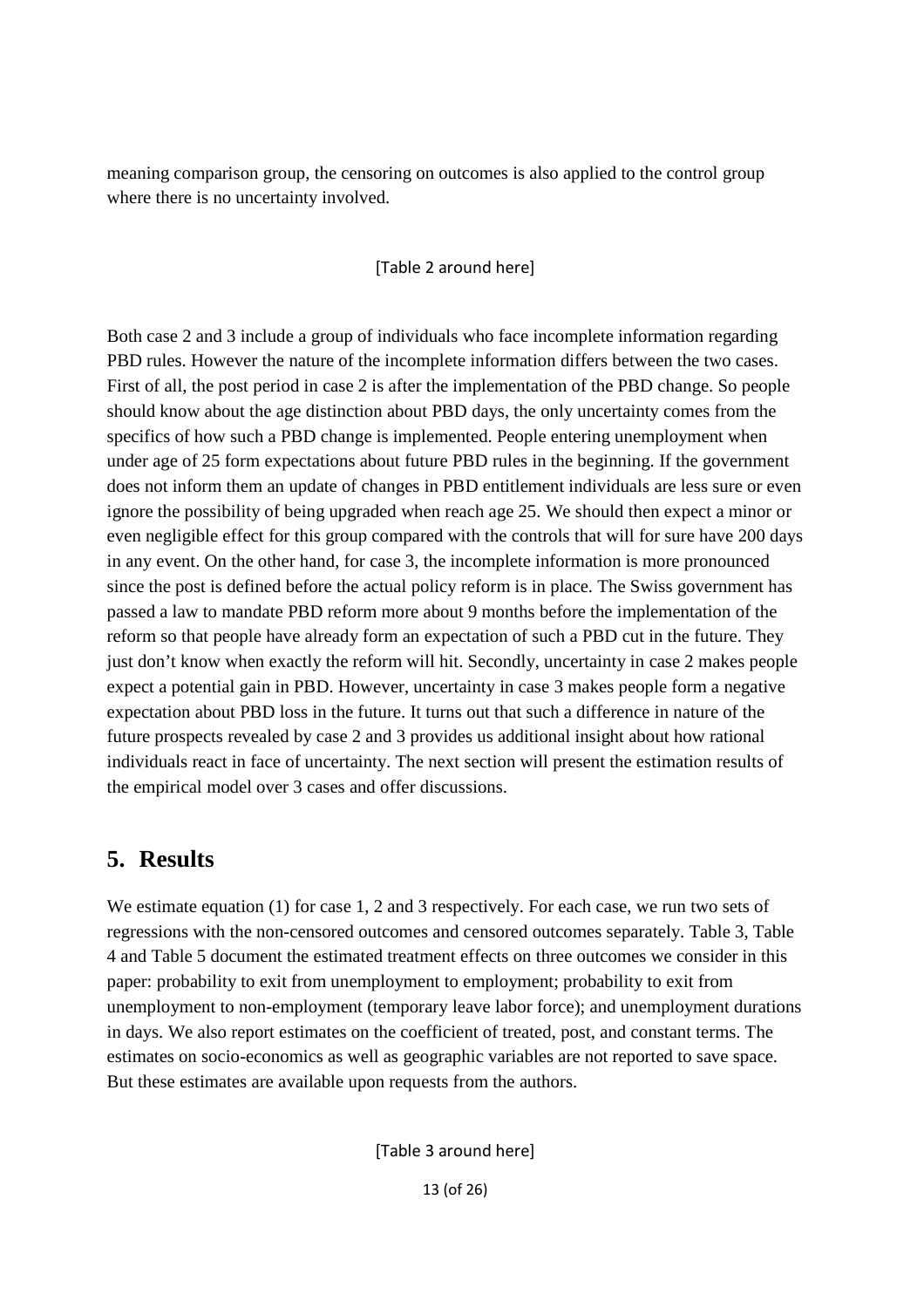meaning comparison group, the censoring on outcomes is also applied to the control group where there is no uncertainty involved.

### [Table 2 around here]

Both case 2 and 3 include a group of individuals who face incomplete information regarding PBD rules. However the nature of the incomplete information differs between the two cases. First of all, the post period in case 2 is after the implementation of the PBD change. So people should know about the age distinction about PBD days, the only uncertainty comes from the specifics of how such a PBD change is implemented. People entering unemployment when under age of 25 form expectations about future PBD rules in the beginning. If the government does not inform them an update of changes in PBD entitlement individuals are less sure or even ignore the possibility of being upgraded when reach age 25. We should then expect a minor or even negligible effect for this group compared with the controls that will for sure have 200 days in any event. On the other hand, for case 3, the incomplete information is more pronounced since the post is defined before the actual policy reform is in place. The Swiss government has passed a law to mandate PBD reform more about 9 months before the implementation of the reform so that people have already form an expectation of such a PBD cut in the future. They just don't know when exactly the reform will hit. Secondly, uncertainty in case 2 makes people expect a potential gain in PBD. However, uncertainty in case 3 makes people form a negative expectation about PBD loss in the future. It turns out that such a difference in nature of the future prospects revealed by case 2 and 3 provides us additional insight about how rational individuals react in face of uncertainty. The next section will present the estimation results of the empirical model over 3 cases and offer discussions.

### **5. Results**

We estimate equation (1) for case 1, 2 and 3 respectively. For each case, we run two sets of regressions with the non-censored outcomes and censored outcomes separately. Table 3, Table 4 and Table 5 document the estimated treatment effects on three outcomes we consider in this paper: probability to exit from unemployment to employment; probability to exit from unemployment to non-employment (temporary leave labor force); and unemployment durations in days. We also report estimates on the coefficient of treated, post, and constant terms. The estimates on socio-economics as well as geographic variables are not reported to save space. But these estimates are available upon requests from the authors.

[Table 3 around here]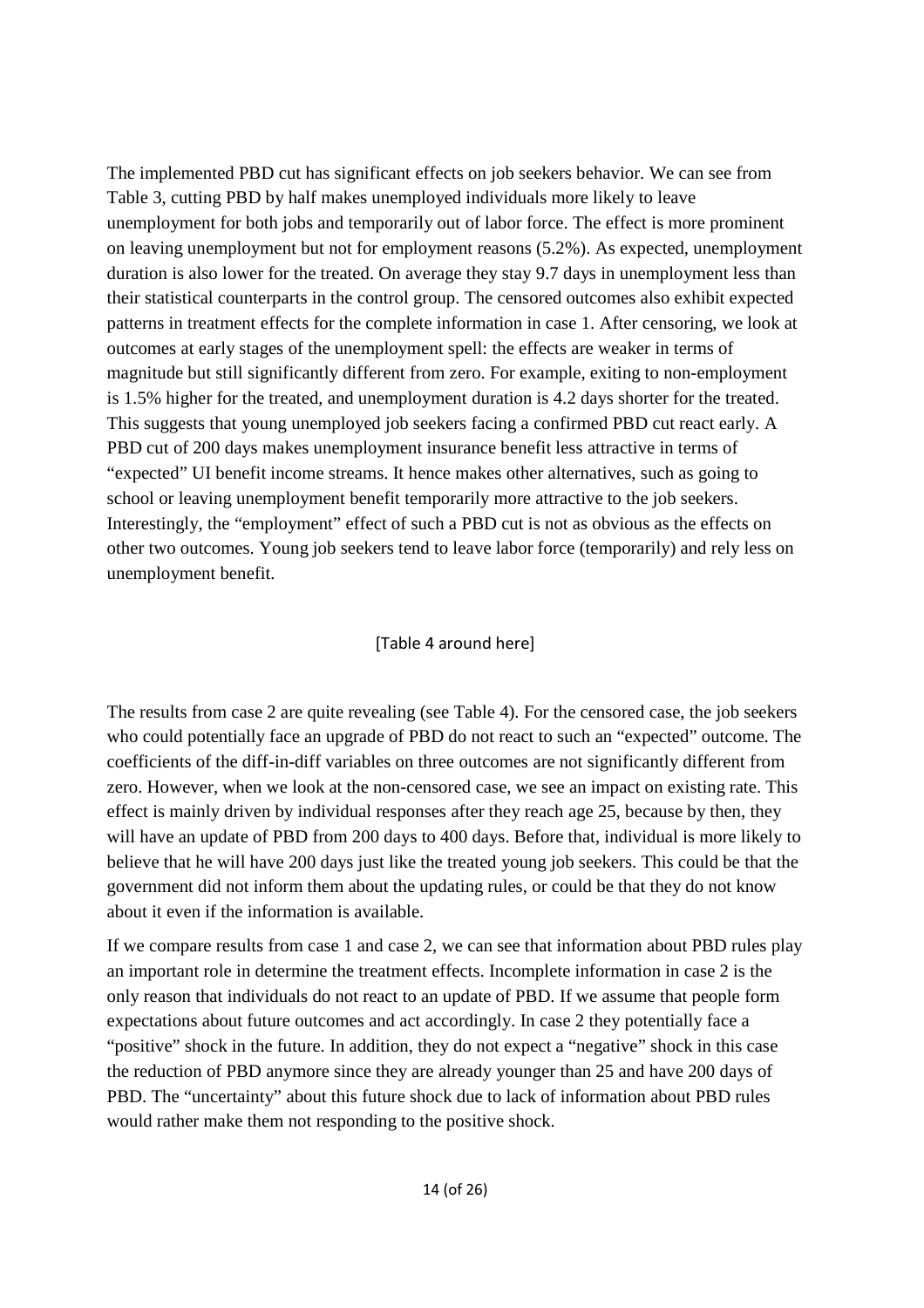The implemented PBD cut has significant effects on job seekers behavior. We can see from Table 3, cutting PBD by half makes unemployed individuals more likely to leave unemployment for both jobs and temporarily out of labor force. The effect is more prominent on leaving unemployment but not for employment reasons (5.2%). As expected, unemployment duration is also lower for the treated. On average they stay 9.7 days in unemployment less than their statistical counterparts in the control group. The censored outcomes also exhibit expected patterns in treatment effects for the complete information in case 1. After censoring, we look at outcomes at early stages of the unemployment spell: the effects are weaker in terms of magnitude but still significantly different from zero. For example, exiting to non-employment is 1.5% higher for the treated, and unemployment duration is 4.2 days shorter for the treated. This suggests that young unemployed job seekers facing a confirmed PBD cut react early. A PBD cut of 200 days makes unemployment insurance benefit less attractive in terms of "expected" UI benefit income streams. It hence makes other alternatives, such as going to school or leaving unemployment benefit temporarily more attractive to the job seekers. Interestingly, the "employment" effect of such a PBD cut is not as obvious as the effects on other two outcomes. Young job seekers tend to leave labor force (temporarily) and rely less on unemployment benefit.

### [Table 4 around here]

The results from case 2 are quite revealing (see Table 4). For the censored case, the job seekers who could potentially face an upgrade of PBD do not react to such an "expected" outcome. The coefficients of the diff-in-diff variables on three outcomes are not significantly different from zero. However, when we look at the non-censored case, we see an impact on existing rate. This effect is mainly driven by individual responses after they reach age 25, because by then, they will have an update of PBD from 200 days to 400 days. Before that, individual is more likely to believe that he will have 200 days just like the treated young job seekers. This could be that the government did not inform them about the updating rules, or could be that they do not know about it even if the information is available.

If we compare results from case 1 and case 2, we can see that information about PBD rules play an important role in determine the treatment effects. Incomplete information in case 2 is the only reason that individuals do not react to an update of PBD. If we assume that people form expectations about future outcomes and act accordingly. In case 2 they potentially face a "positive" shock in the future. In addition, they do not expect a "negative" shock in this case the reduction of PBD anymore since they are already younger than 25 and have 200 days of PBD. The "uncertainty" about this future shock due to lack of information about PBD rules would rather make them not responding to the positive shock.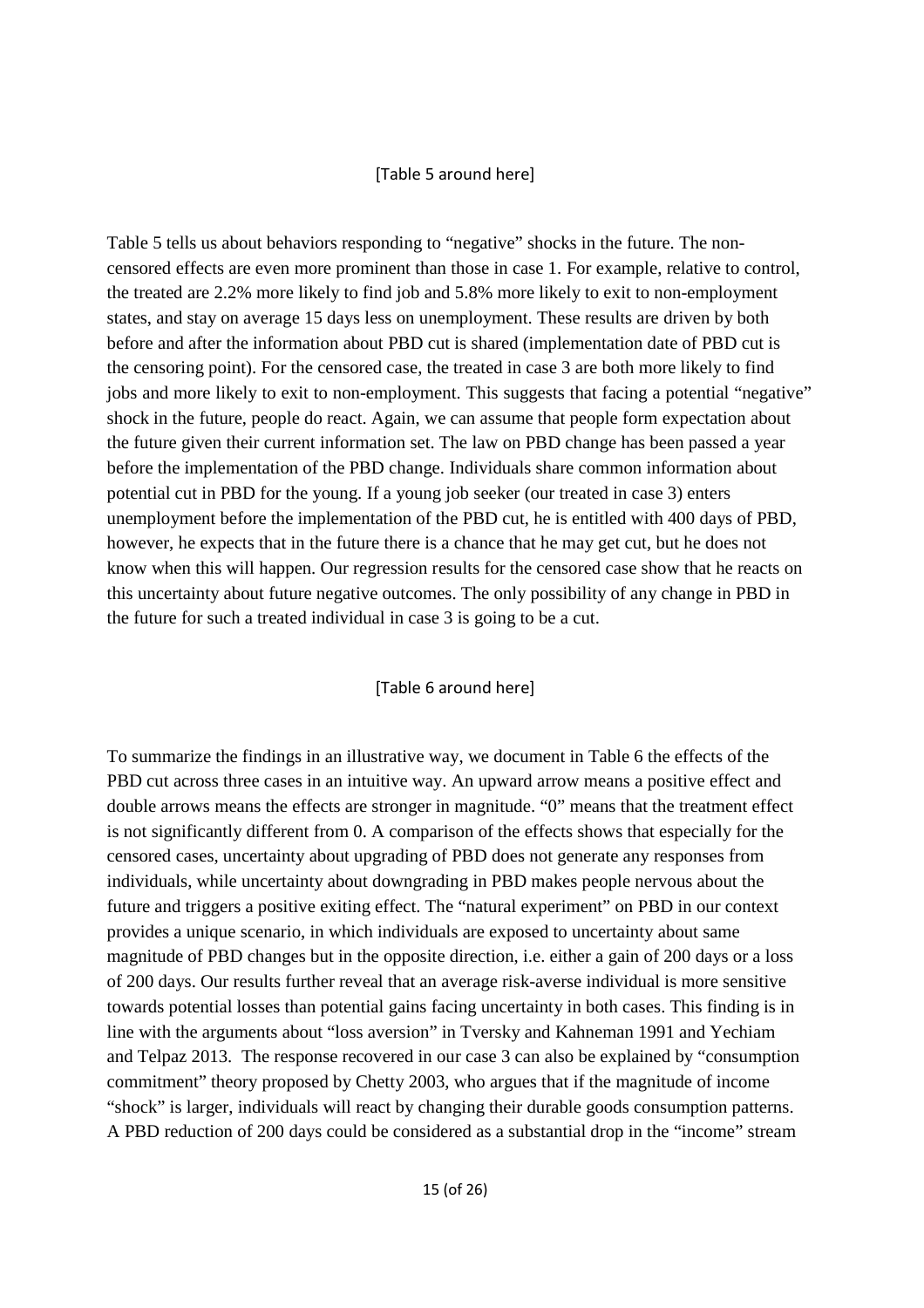#### [Table 5 around here]

Table 5 tells us about behaviors responding to "negative" shocks in the future. The noncensored effects are even more prominent than those in case 1. For example, relative to control, the treated are 2.2% more likely to find job and 5.8% more likely to exit to non-employment states, and stay on average 15 days less on unemployment. These results are driven by both before and after the information about PBD cut is shared (implementation date of PBD cut is the censoring point). For the censored case, the treated in case 3 are both more likely to find jobs and more likely to exit to non-employment. This suggests that facing a potential "negative" shock in the future, people do react. Again, we can assume that people form expectation about the future given their current information set. The law on PBD change has been passed a year before the implementation of the PBD change. Individuals share common information about potential cut in PBD for the young. If a young job seeker (our treated in case 3) enters unemployment before the implementation of the PBD cut, he is entitled with 400 days of PBD, however, he expects that in the future there is a chance that he may get cut, but he does not know when this will happen. Our regression results for the censored case show that he reacts on this uncertainty about future negative outcomes. The only possibility of any change in PBD in the future for such a treated individual in case 3 is going to be a cut.

#### [Table 6 around here]

To summarize the findings in an illustrative way, we document in Table 6 the effects of the PBD cut across three cases in an intuitive way. An upward arrow means a positive effect and double arrows means the effects are stronger in magnitude. "0" means that the treatment effect is not significantly different from 0. A comparison of the effects shows that especially for the censored cases, uncertainty about upgrading of PBD does not generate any responses from individuals, while uncertainty about downgrading in PBD makes people nervous about the future and triggers a positive exiting effect. The "natural experiment" on PBD in our context provides a unique scenario, in which individuals are exposed to uncertainty about same magnitude of PBD changes but in the opposite direction, i.e. either a gain of 200 days or a loss of 200 days. Our results further reveal that an average risk-averse individual is more sensitive towards potential losses than potential gains facing uncertainty in both cases. This finding is in line with the arguments about "loss aversion" in Tversky and Kahneman 1991 and Yechiam and Telpaz 2013. The response recovered in our case 3 can also be explained by "consumption commitment" theory proposed by Chetty 2003, who argues that if the magnitude of income "shock" is larger, individuals will react by changing their durable goods consumption patterns. A PBD reduction of 200 days could be considered as a substantial drop in the "income" stream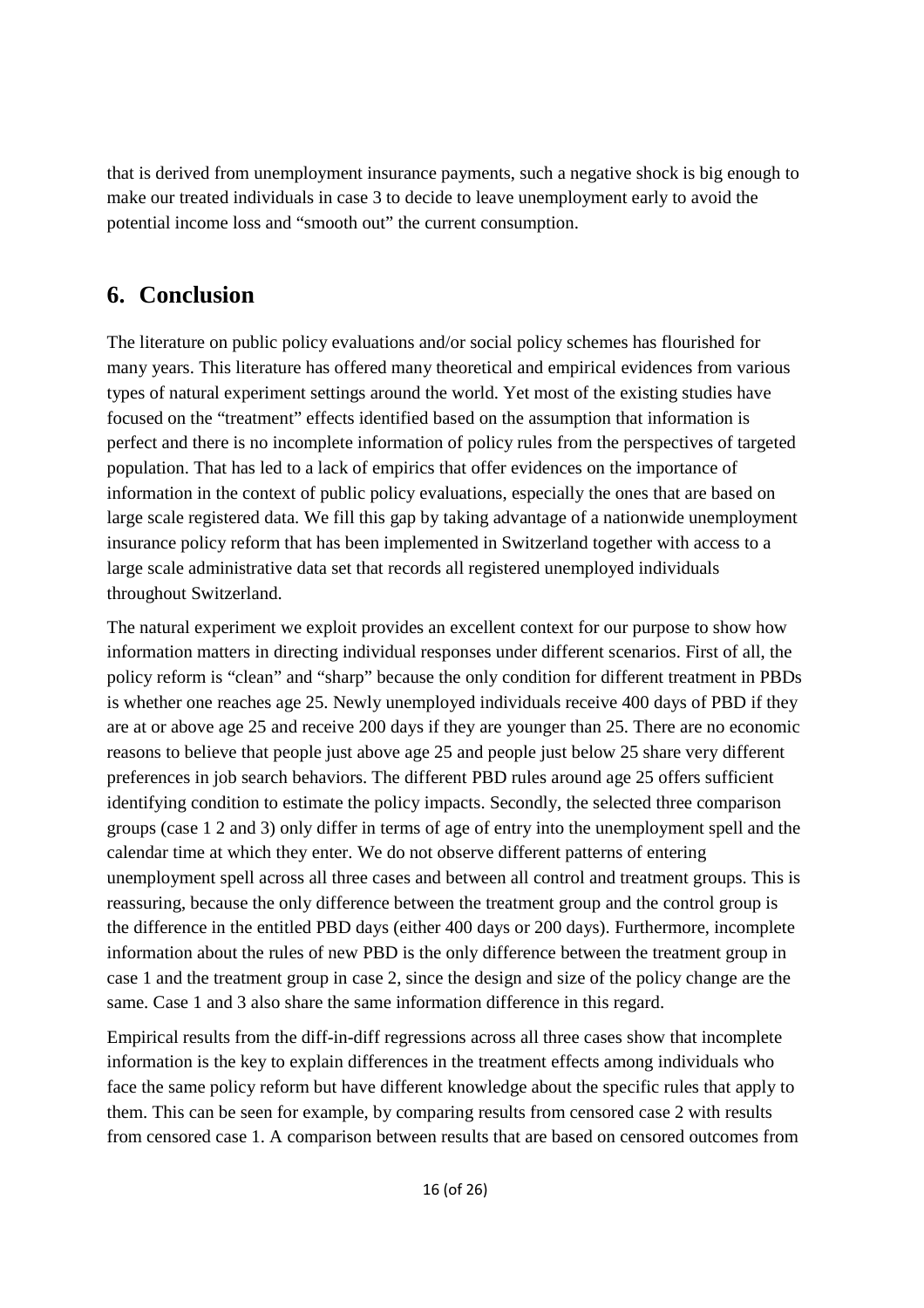that is derived from unemployment insurance payments, such a negative shock is big enough to make our treated individuals in case 3 to decide to leave unemployment early to avoid the potential income loss and "smooth out" the current consumption.

## **6. Conclusion**

The literature on public policy evaluations and/or social policy schemes has flourished for many years. This literature has offered many theoretical and empirical evidences from various types of natural experiment settings around the world. Yet most of the existing studies have focused on the "treatment" effects identified based on the assumption that information is perfect and there is no incomplete information of policy rules from the perspectives of targeted population. That has led to a lack of empirics that offer evidences on the importance of information in the context of public policy evaluations, especially the ones that are based on large scale registered data. We fill this gap by taking advantage of a nationwide unemployment insurance policy reform that has been implemented in Switzerland together with access to a large scale administrative data set that records all registered unemployed individuals throughout Switzerland.

The natural experiment we exploit provides an excellent context for our purpose to show how information matters in directing individual responses under different scenarios. First of all, the policy reform is "clean" and "sharp" because the only condition for different treatment in PBDs is whether one reaches age 25. Newly unemployed individuals receive 400 days of PBD if they are at or above age 25 and receive 200 days if they are younger than 25. There are no economic reasons to believe that people just above age 25 and people just below 25 share very different preferences in job search behaviors. The different PBD rules around age 25 offers sufficient identifying condition to estimate the policy impacts. Secondly, the selected three comparison groups (case 1 2 and 3) only differ in terms of age of entry into the unemployment spell and the calendar time at which they enter. We do not observe different patterns of entering unemployment spell across all three cases and between all control and treatment groups. This is reassuring, because the only difference between the treatment group and the control group is the difference in the entitled PBD days (either 400 days or 200 days). Furthermore, incomplete information about the rules of new PBD is the only difference between the treatment group in case 1 and the treatment group in case 2, since the design and size of the policy change are the same. Case 1 and 3 also share the same information difference in this regard.

Empirical results from the diff-in-diff regressions across all three cases show that incomplete information is the key to explain differences in the treatment effects among individuals who face the same policy reform but have different knowledge about the specific rules that apply to them. This can be seen for example, by comparing results from censored case 2 with results from censored case 1. A comparison between results that are based on censored outcomes from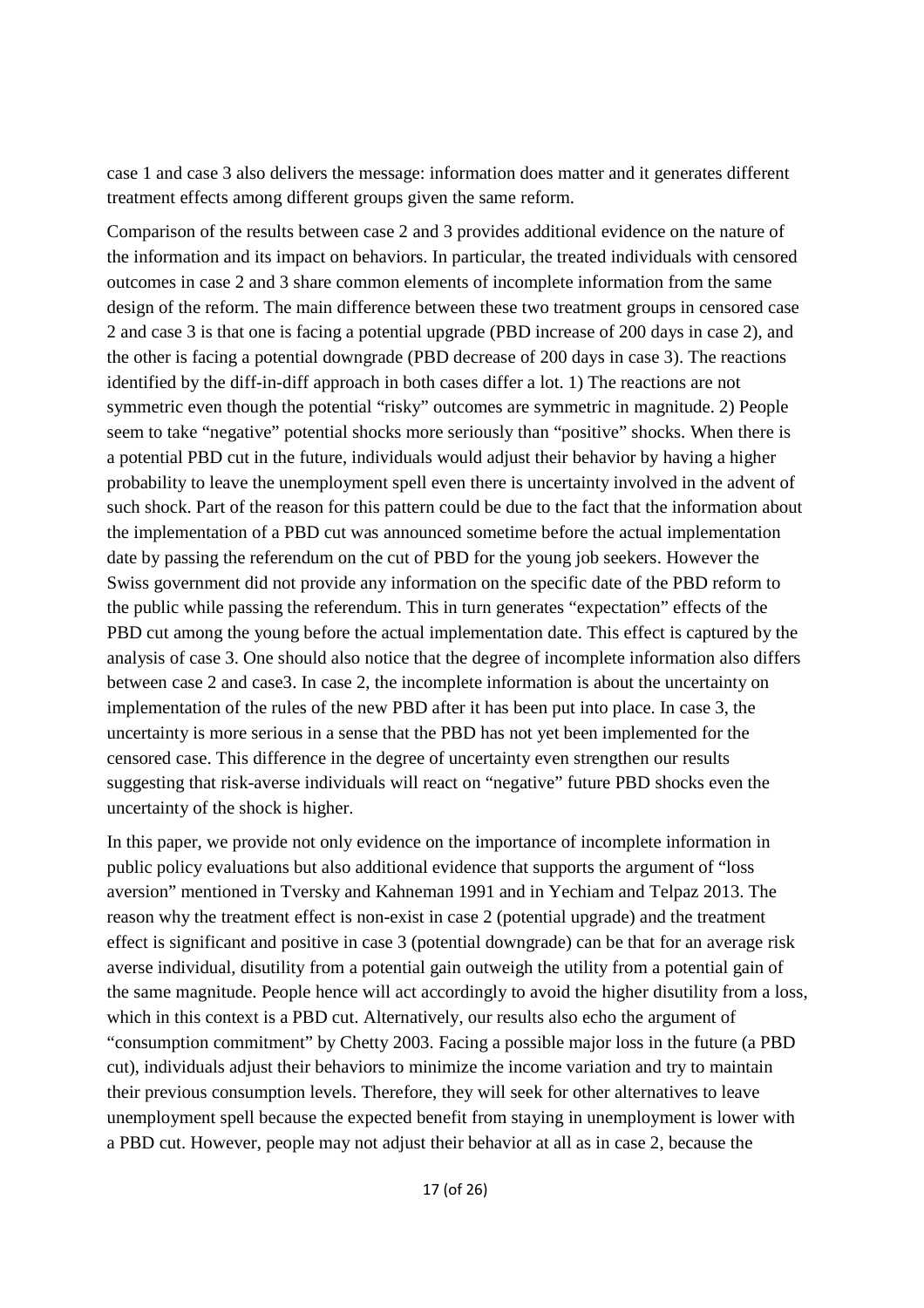case 1 and case 3 also delivers the message: information does matter and it generates different treatment effects among different groups given the same reform.

Comparison of the results between case 2 and 3 provides additional evidence on the nature of the information and its impact on behaviors. In particular, the treated individuals with censored outcomes in case 2 and 3 share common elements of incomplete information from the same design of the reform. The main difference between these two treatment groups in censored case 2 and case 3 is that one is facing a potential upgrade (PBD increase of 200 days in case 2), and the other is facing a potential downgrade (PBD decrease of 200 days in case 3). The reactions identified by the diff-in-diff approach in both cases differ a lot. 1) The reactions are not symmetric even though the potential "risky" outcomes are symmetric in magnitude. 2) People seem to take "negative" potential shocks more seriously than "positive" shocks. When there is a potential PBD cut in the future, individuals would adjust their behavior by having a higher probability to leave the unemployment spell even there is uncertainty involved in the advent of such shock. Part of the reason for this pattern could be due to the fact that the information about the implementation of a PBD cut was announced sometime before the actual implementation date by passing the referendum on the cut of PBD for the young job seekers. However the Swiss government did not provide any information on the specific date of the PBD reform to the public while passing the referendum. This in turn generates "expectation" effects of the PBD cut among the young before the actual implementation date. This effect is captured by the analysis of case 3. One should also notice that the degree of incomplete information also differs between case 2 and case3. In case 2, the incomplete information is about the uncertainty on implementation of the rules of the new PBD after it has been put into place. In case 3, the uncertainty is more serious in a sense that the PBD has not yet been implemented for the censored case. This difference in the degree of uncertainty even strengthen our results suggesting that risk-averse individuals will react on "negative" future PBD shocks even the uncertainty of the shock is higher.

In this paper, we provide not only evidence on the importance of incomplete information in public policy evaluations but also additional evidence that supports the argument of "loss aversion" mentioned in Tversky and Kahneman 1991 and in Yechiam and Telpaz 2013. The reason why the treatment effect is non-exist in case 2 (potential upgrade) and the treatment effect is significant and positive in case 3 (potential downgrade) can be that for an average risk averse individual, disutility from a potential gain outweigh the utility from a potential gain of the same magnitude. People hence will act accordingly to avoid the higher disutility from a loss, which in this context is a PBD cut. Alternatively, our results also echo the argument of "consumption commitment" by Chetty 2003. Facing a possible major loss in the future (a PBD cut), individuals adjust their behaviors to minimize the income variation and try to maintain their previous consumption levels. Therefore, they will seek for other alternatives to leave unemployment spell because the expected benefit from staying in unemployment is lower with a PBD cut. However, people may not adjust their behavior at all as in case 2, because the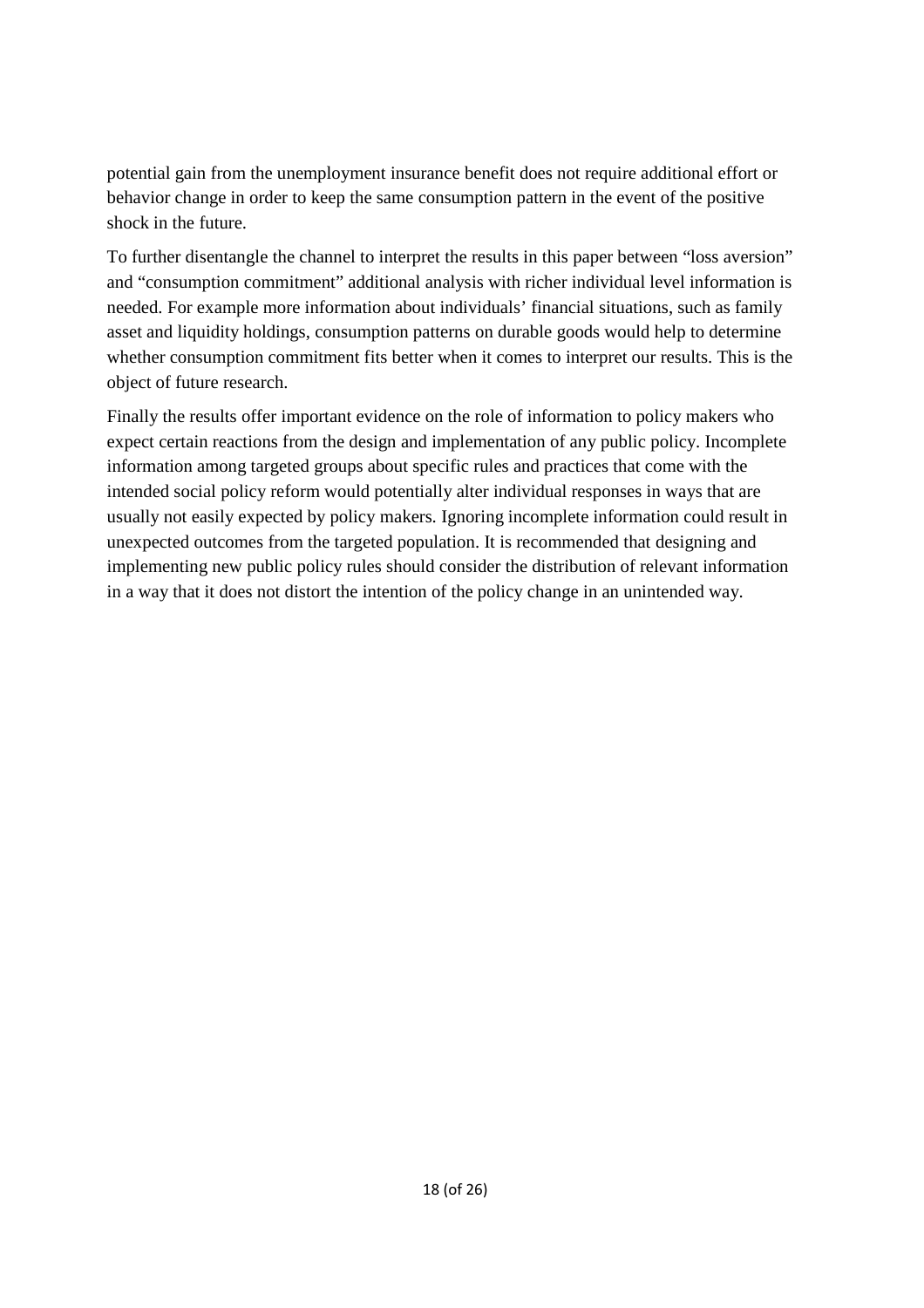potential gain from the unemployment insurance benefit does not require additional effort or behavior change in order to keep the same consumption pattern in the event of the positive shock in the future.

To further disentangle the channel to interpret the results in this paper between "loss aversion" and "consumption commitment" additional analysis with richer individual level information is needed. For example more information about individuals' financial situations, such as family asset and liquidity holdings, consumption patterns on durable goods would help to determine whether consumption commitment fits better when it comes to interpret our results. This is the object of future research.

Finally the results offer important evidence on the role of information to policy makers who expect certain reactions from the design and implementation of any public policy. Incomplete information among targeted groups about specific rules and practices that come with the intended social policy reform would potentially alter individual responses in ways that are usually not easily expected by policy makers. Ignoring incomplete information could result in unexpected outcomes from the targeted population. It is recommended that designing and implementing new public policy rules should consider the distribution of relevant information in a way that it does not distort the intention of the policy change in an unintended way.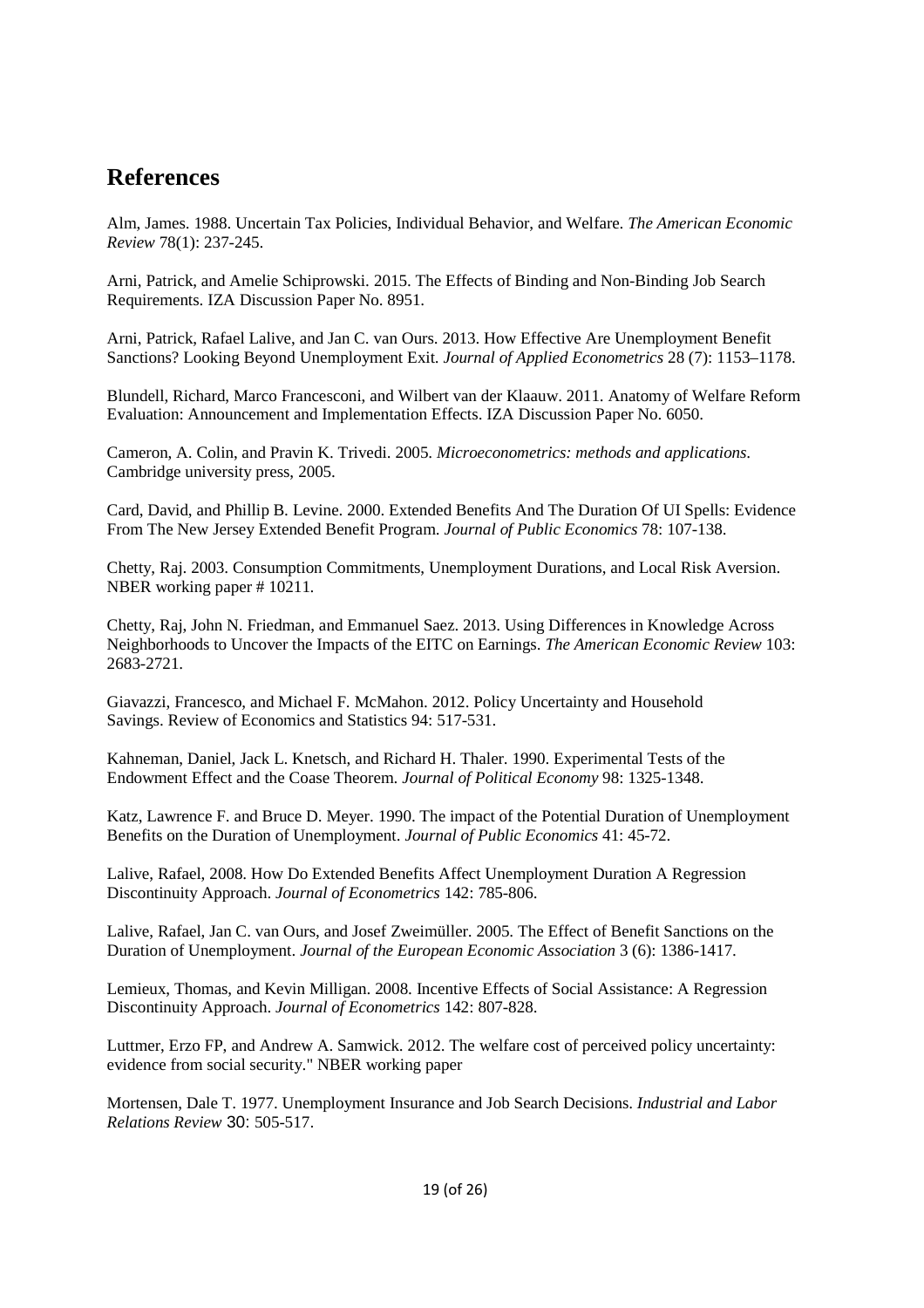## **References**

Alm, James. 1988. Uncertain Tax Policies, Individual Behavior, and Welfare. *The American Economic Review* 78(1): 237-245.

Arni, Patrick, and Amelie Schiprowski. 2015. The Effects of Binding and Non-Binding Job Search Requirements. IZA Discussion Paper No. 8951.

Arni, Patrick, Rafael Lalive, and Jan C. van Ours. 2013. How Effective Are Unemployment Benefit Sanctions? Looking Beyond Unemployment Exit. *Journal of Applied Econometrics* 28 (7): 1153–1178.

Blundell, Richard, Marco Francesconi, and Wilbert van der Klaauw. 2011. Anatomy of Welfare Reform Evaluation: Announcement and Implementation Effects. IZA Discussion Paper No. 6050.

Cameron, A. Colin, and Pravin K. Trivedi. 2005. *Microeconometrics: methods and applications*. Cambridge university press, 2005.

Card, David, and Phillip B. Levine. 2000. Extended Benefits And The Duration Of UI Spells: Evidence From The New Jersey Extended Benefit Program. *Journal of Public Economics* 78: 107-138.

Chetty, Raj. 2003. Consumption Commitments, Unemployment Durations, and Local Risk Aversion. NBER working paper # 10211.

Chetty, Raj, John N. Friedman, and Emmanuel Saez. 2013. Using Differences in Knowledge Across Neighborhoods to Uncover the Impacts of the EITC on Earnings. *The American Economic Review* 103: 2683-2721.

Giavazzi, Francesco, and Michael F. McMahon. 2012. Policy Uncertainty and Household Savings. Review of Economics and Statistics 94: 517-531.

Kahneman, Daniel, Jack L. Knetsch, and Richard H. Thaler. 1990. Experimental Tests of the Endowment Effect and the Coase Theorem. *Journal of Political Economy* 98: 1325-1348.

Katz, Lawrence F. and Bruce D. Meyer. 1990. The impact of the Potential Duration of Unemployment Benefits on the Duration of Unemployment. *Journal of Public Economics* 41: 45-72.

Lalive, Rafael, 2008. How Do Extended Benefits Affect Unemployment Duration A Regression Discontinuity Approach. *Journal of Econometrics* 142: 785-806.

Lalive, Rafael, Jan C. van Ours, and Josef Zweimüller. 2005. The Effect of Benefit Sanctions on the Duration of Unemployment. *Journal of the European Economic Association* 3 (6): 1386-1417.

Lemieux, Thomas, and Kevin Milligan. 2008. Incentive Effects of Social Assistance: A Regression Discontinuity Approach. *Journal of Econometrics* 142: 807-828.

Luttmer, Erzo FP, and Andrew A. Samwick. 2012. The welfare cost of perceived policy uncertainty: evidence from social security." NBER working paper

Mortensen, Dale T. 1977. Unemployment Insurance and Job Search Decisions. *Industrial and Labor Relations Review* 30: 505-517.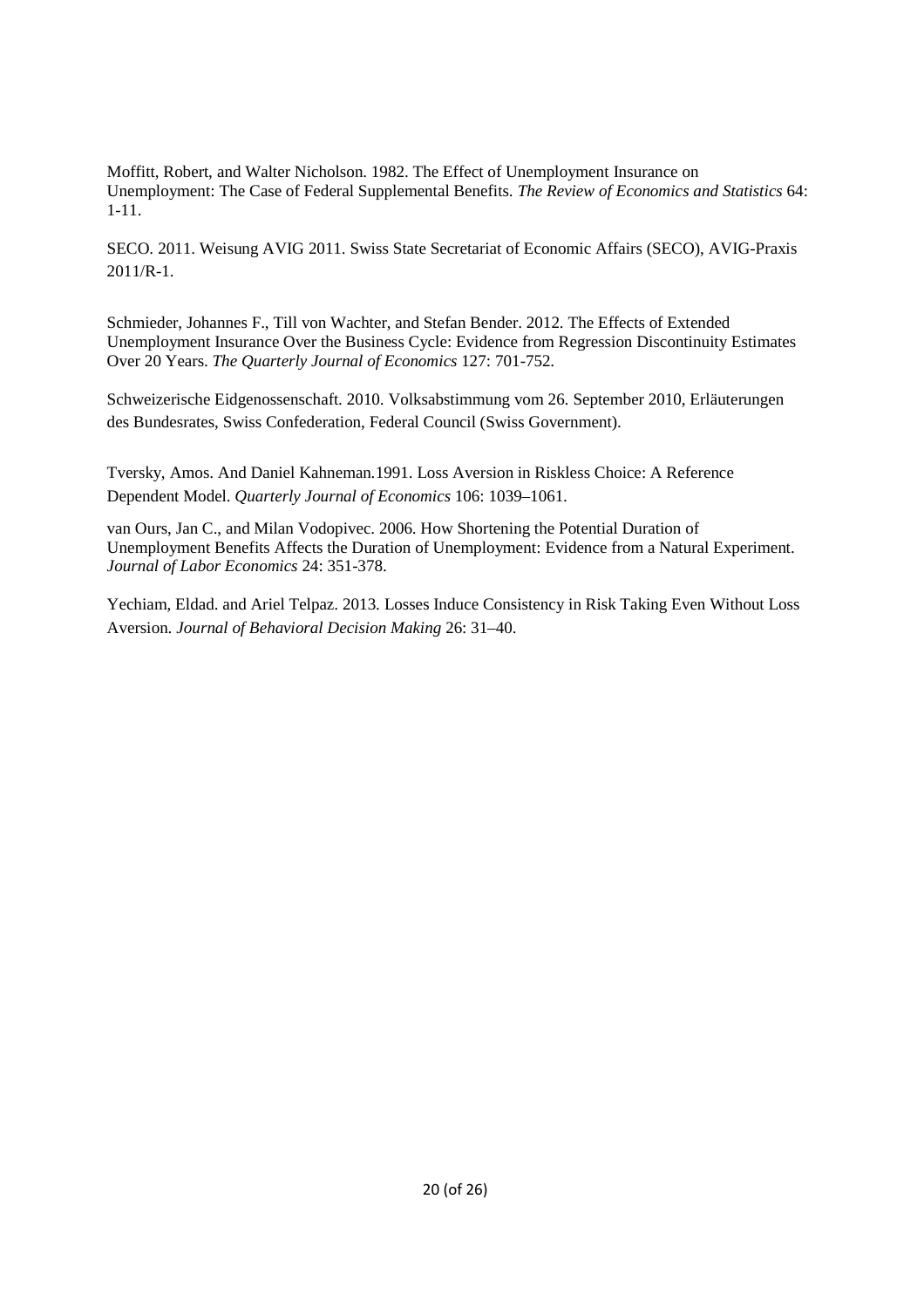Moffitt, Robert, and Walter Nicholson. 1982. The Effect of Unemployment Insurance on Unemployment: The Case of Federal Supplemental Benefits. *The Review of Economics and Statistics* 64: 1-11.

SECO. 2011. Weisung AVIG 2011. Swiss State Secretariat of Economic Affairs (SECO), AVIG-Praxis 2011/R-1.

Schmieder, Johannes F., Till von Wachter, and Stefan Bender. 2012. The Effects of Extended Unemployment Insurance Over the Business Cycle: Evidence from Regression Discontinuity Estimates Over 20 Years. *The Quarterly Journal of Economics* 127: 701-752.

Schweizerische Eidgenossenschaft. 2010. Volksabstimmung vom 26. September 2010, Erläuterungen des Bundesrates, Swiss Confederation, Federal Council (Swiss Government).

Tversky, Amos. And Daniel Kahneman.1991. Loss Aversion in Riskless Choice: A Reference Dependent Model. *Quarterly Journal of Economics* 106: 1039–1061.

van Ours, Jan C., and Milan Vodopivec. 2006. How Shortening the Potential Duration of Unemployment Benefits Affects the Duration of Unemployment: Evidence from a Natural Experiment. *Journal of Labor Economics* 24: 351-378.

Yechiam, Eldad. and Ariel Telpaz. 2013. Losses Induce Consistency in Risk Taking Even Without Loss Aversion. *Journal of Behavioral Decision Making* 26: 31–40.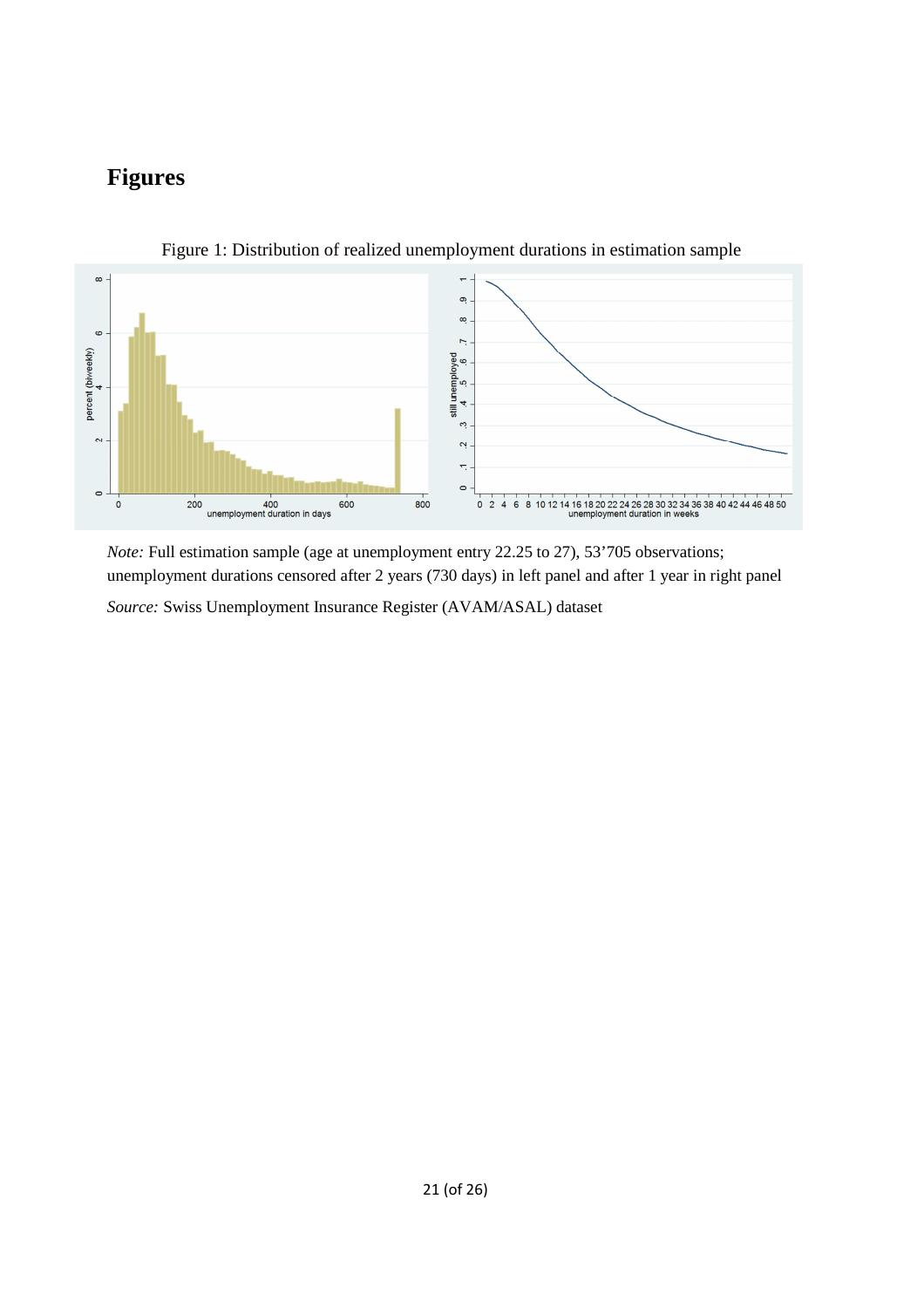# **Figures**



Figure 1: Distribution of realized unemployment durations in estimation sample

*Note:* Full estimation sample (age at unemployment entry 22.25 to 27), 53'705 observations; unemployment durations censored after 2 years (730 days) in left panel and after 1 year in right panel

*Source:* Swiss Unemployment Insurance Register (AVAM/ASAL) dataset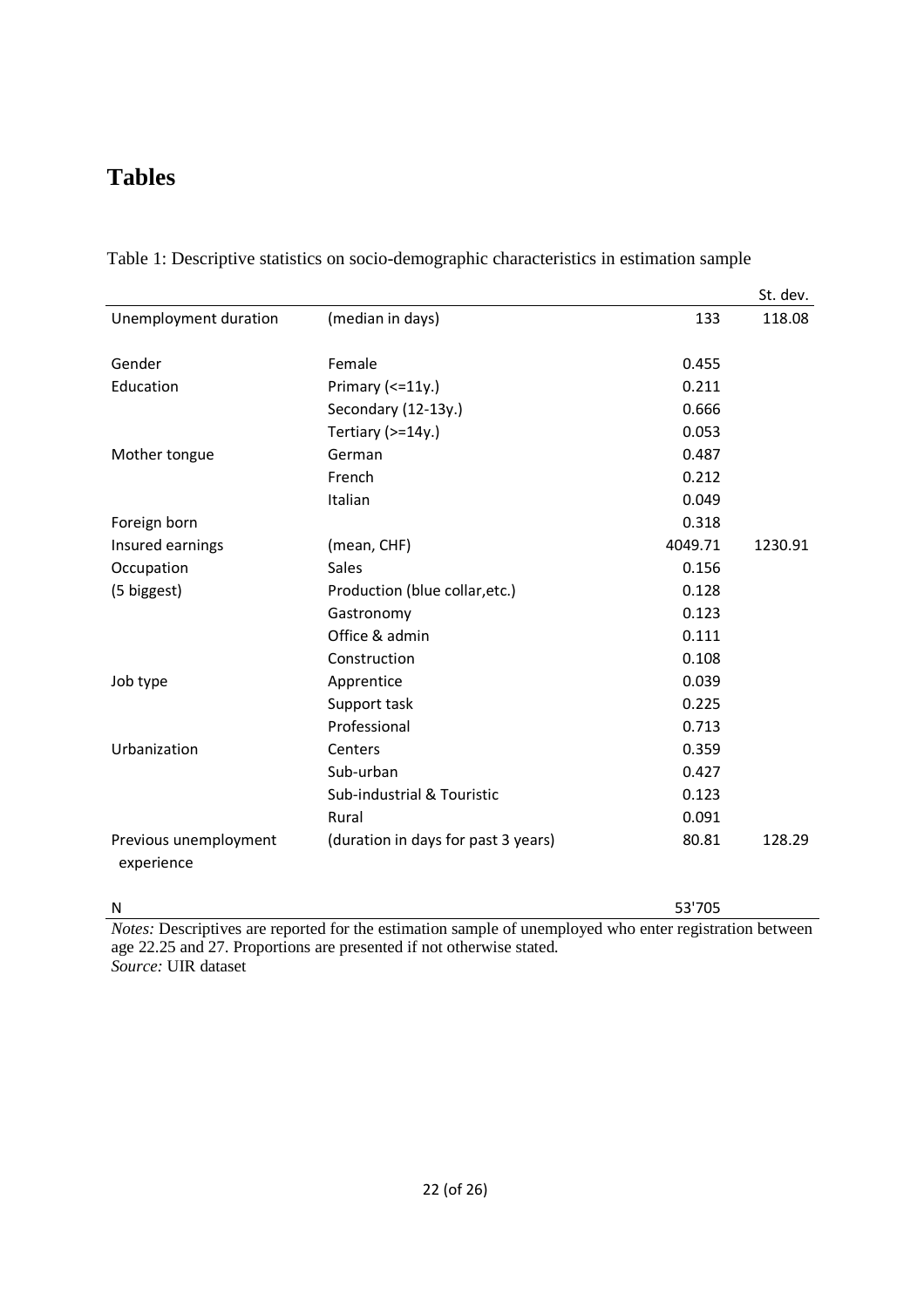## **Tables**

|                                     |                                     |         | St. dev. |
|-------------------------------------|-------------------------------------|---------|----------|
| Unemployment duration               | (median in days)                    | 133     | 118.08   |
| Gender                              | Female                              | 0.455   |          |
| Education                           |                                     | 0.211   |          |
|                                     | Primary $\left($ < = 11y.)          |         |          |
|                                     | Secondary (12-13y.)                 | 0.666   |          |
|                                     | Tertiary (>=14y.)                   | 0.053   |          |
| Mother tongue                       | German                              | 0.487   |          |
|                                     | French                              | 0.212   |          |
|                                     | Italian                             | 0.049   |          |
| Foreign born                        |                                     | 0.318   |          |
| Insured earnings                    | (mean, CHF)                         | 4049.71 | 1230.91  |
| Occupation                          | <b>Sales</b>                        | 0.156   |          |
| (5 biggest)                         | Production (blue collar, etc.)      | 0.128   |          |
|                                     | Gastronomy                          | 0.123   |          |
|                                     | Office & admin                      | 0.111   |          |
|                                     | Construction                        | 0.108   |          |
| Job type                            | Apprentice                          | 0.039   |          |
|                                     | Support task                        | 0.225   |          |
|                                     | Professional                        | 0.713   |          |
| Urbanization                        | Centers                             | 0.359   |          |
|                                     | Sub-urban                           | 0.427   |          |
|                                     | Sub-industrial & Touristic          | 0.123   |          |
|                                     | Rural                               | 0.091   |          |
| Previous unemployment<br>experience | (duration in days for past 3 years) | 80.81   | 128.29   |

Table 1: Descriptive statistics on socio-demographic characteristics in estimation sample

N 53'705

*Notes:* Descriptives are reported for the estimation sample of unemployed who enter registration between age 22.25 and 27. Proportions are presented if not otherwise stated. *Source:* UIR dataset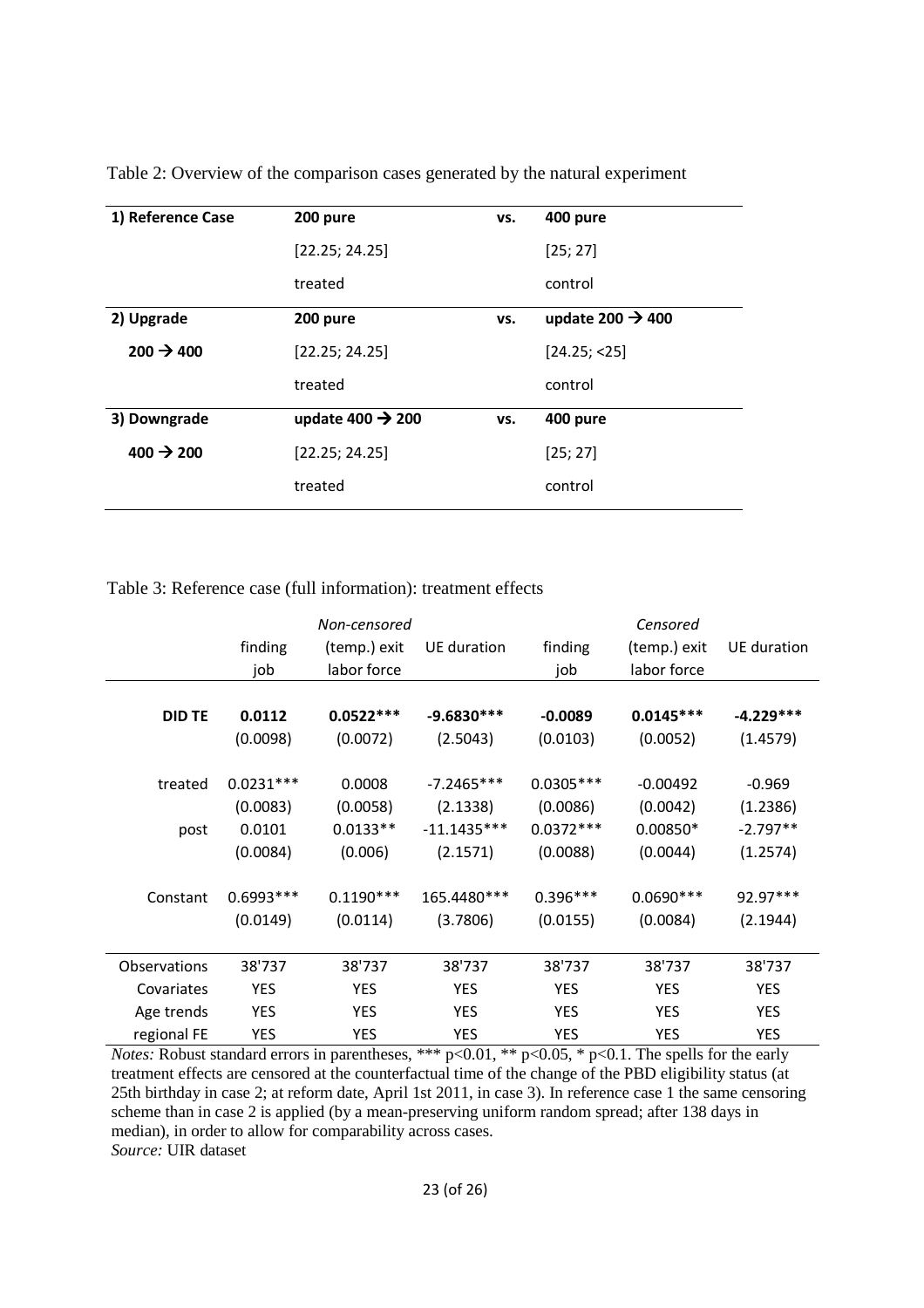| 1) Reference Case     | 200 pure                     | VS. | 400 pure                     |
|-----------------------|------------------------------|-----|------------------------------|
|                       | [22.25; 24.25]               |     | [25; 27]                     |
|                       | treated                      |     | control                      |
| 2) Upgrade            | 200 pure                     | VS. | update 200 $\rightarrow$ 400 |
| $200 \rightarrow 400$ | [22.25; 24.25]               |     | [24.25; < 25]                |
|                       | treated                      |     | control                      |
| 3) Downgrade          | update 400 $\rightarrow$ 200 | VS. | 400 pure                     |
| $400 \div 200$        | [22.25; 24.25]               |     | [25; 27]                     |
|                       | treated                      |     | control                      |
|                       |                              |     |                              |

Table 2: Overview of the comparison cases generated by the natural experiment

Table 3: Reference case (full information): treatment effects

| Non-censored |              |               | Censored    |                             |             |
|--------------|--------------|---------------|-------------|-----------------------------|-------------|
| finding      | (temp.) exit | UE duration   | finding     | (temp.) exit                | UE duration |
| job          | labor force  |               | job         | labor force                 |             |
|              |              |               |             |                             |             |
| 0.0112       | $0.0522***$  | $-9.6830***$  | $-0.0089$   | $0.0145***$                 | $-4.229***$ |
| (0.0098)     | (0.0072)     | (2.5043)      | (0.0103)    | (0.0052)                    | (1.4579)    |
|              |              |               |             |                             |             |
| $0.0231***$  | 0.0008       | $-7.2465***$  | $0.0305***$ | $-0.00492$                  | $-0.969$    |
| (0.0083)     | (0.0058)     | (2.1338)      | (0.0086)    | (0.0042)                    | (1.2386)    |
| 0.0101       | $0.0133**$   | $-11.1435***$ | $0.0372***$ | $0.00850*$                  | $-2.797**$  |
| (0.0084)     | (0.006)      | (2.1571)      | (0.0088)    | (0.0044)                    | (1.2574)    |
|              |              |               |             |                             |             |
| $0.6993***$  | $0.1190***$  | 165.4480***   | $0.396***$  | $0.0690***$                 | 92.97***    |
| (0.0149)     | (0.0114)     | (3.7806)      | (0.0155)    | (0.0084)                    | (2.1944)    |
|              |              |               |             |                             |             |
| 38'737       | 38'737       | 38'737        | 38'737      | 38'737                      | 38'737      |
| <b>YES</b>   | <b>YES</b>   | <b>YES</b>    | <b>YES</b>  | <b>YES</b>                  | <b>YES</b>  |
| <b>YES</b>   | <b>YES</b>   | <b>YES</b>    | <b>YES</b>  | YES                         | <b>YES</b>  |
| YES          | YES          | <b>YES</b>    | YES         | YES                         | YES         |
|              |              |               |             | $\cap$ $\cap$ $\sim$ $\cup$ |             |

*Notes:* Robust standard errors in parentheses, \*\*\* p<0.01, \*\* p<0.05, \* p<0.1. The spells for the early treatment effects are censored at the counterfactual time of the change of the PBD eligibility status (at 25th birthday in case 2; at reform date, April 1st 2011, in case 3). In reference case 1 the same censoring scheme than in case 2 is applied (by a mean-preserving uniform random spread; after 138 days in median), in order to allow for comparability across cases. *Source:* UIR dataset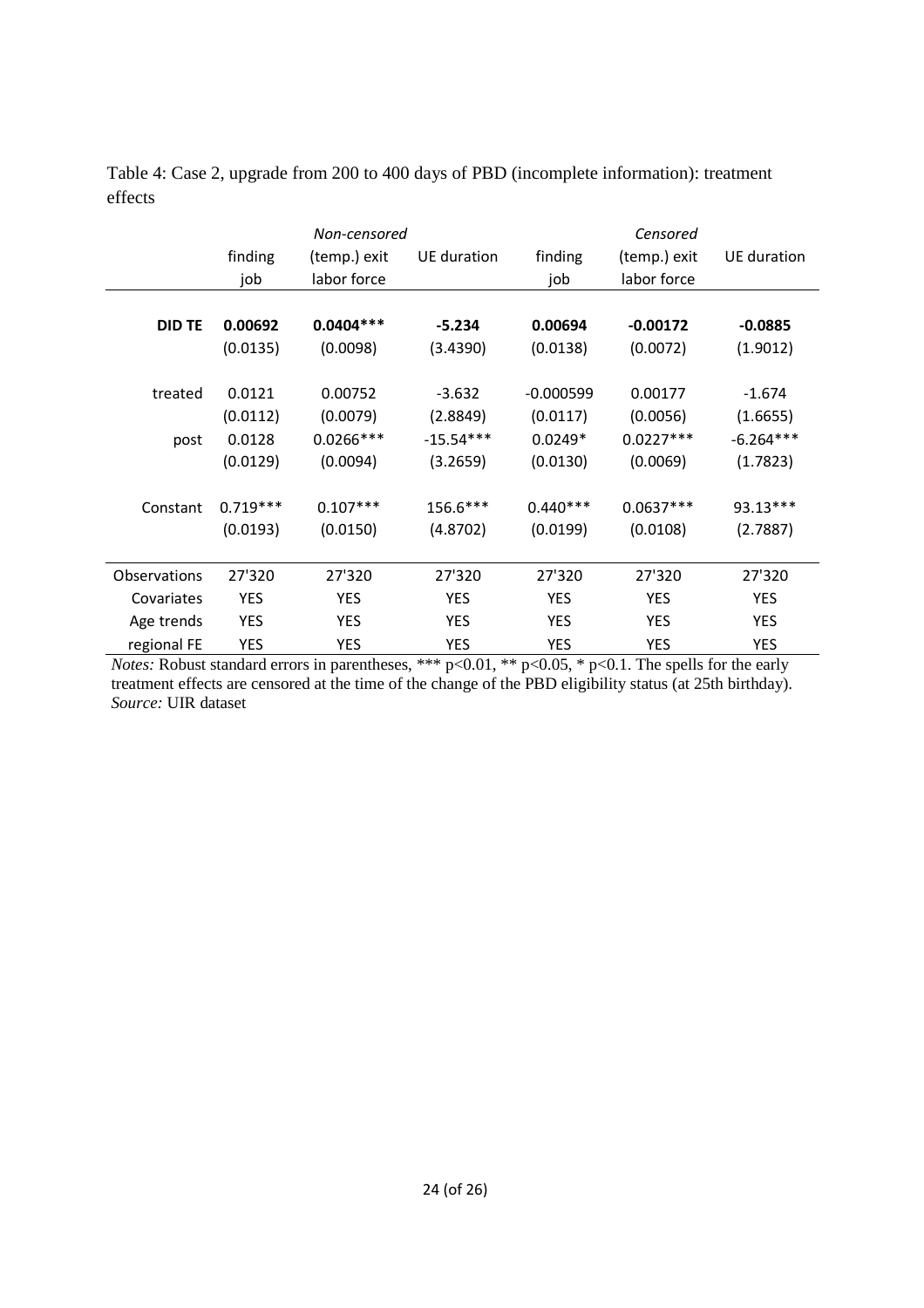|                     | finding<br>job      | Non-censored<br>(temp.) exit<br>labor force | UE duration             | finding<br>job          | Censored<br>(temp.) exit<br>labor force | UE duration             |
|---------------------|---------------------|---------------------------------------------|-------------------------|-------------------------|-----------------------------------------|-------------------------|
| <b>DID TE</b>       | 0.00692<br>(0.0135) | $0.0404***$<br>(0.0098)                     | $-5.234$<br>(3.4390)    | 0.00694<br>(0.0138)     | $-0.00172$<br>(0.0072)                  | $-0.0885$<br>(1.9012)   |
| treated             | 0.0121<br>(0.0112)  | 0.00752<br>(0.0079)                         | $-3.632$<br>(2.8849)    | $-0.000599$<br>(0.0117) | 0.00177<br>(0.0056)                     | $-1.674$<br>(1.6655)    |
| post                | 0.0128<br>(0.0129)  | $0.0266***$<br>(0.0094)                     | $-15.54***$<br>(3.2659) | $0.0249*$<br>(0.0130)   | $0.0227***$<br>(0.0069)                 | $-6.264***$<br>(1.7823) |
| Constant            | $0.719***$          | $0.107***$                                  | 156.6***                | $0.440***$              | $0.0637***$                             | $93.13***$              |
|                     | (0.0193)            | (0.0150)                                    | (4.8702)                | (0.0199)                | (0.0108)                                | (2.7887)                |
| <b>Observations</b> | 27'320              | 27'320                                      | 27'320                  | 27'320                  | 27'320                                  | 27'320                  |
| Covariates          | <b>YES</b>          | <b>YES</b>                                  | <b>YES</b>              | YES                     | YES                                     | <b>YES</b>              |
| Age trends          | <b>YES</b>          | <b>YES</b>                                  | <b>YES</b>              | YES                     | YES                                     | <b>YES</b>              |
| regional FE         | YES                 | <b>YES</b>                                  | <b>YES</b>              | YES                     | YES                                     | <b>YES</b>              |

Table 4: Case 2, upgrade from 200 to 400 days of PBD (incomplete information): treatment effects

*Notes:* Robust standard errors in parentheses, \*\*\* p<0.01, \*\* p<0.05, \* p<0.1. The spells for the early treatment effects are censored at the time of the change of the PBD eligibility status (at 25th birthday). *Source:* UIR dataset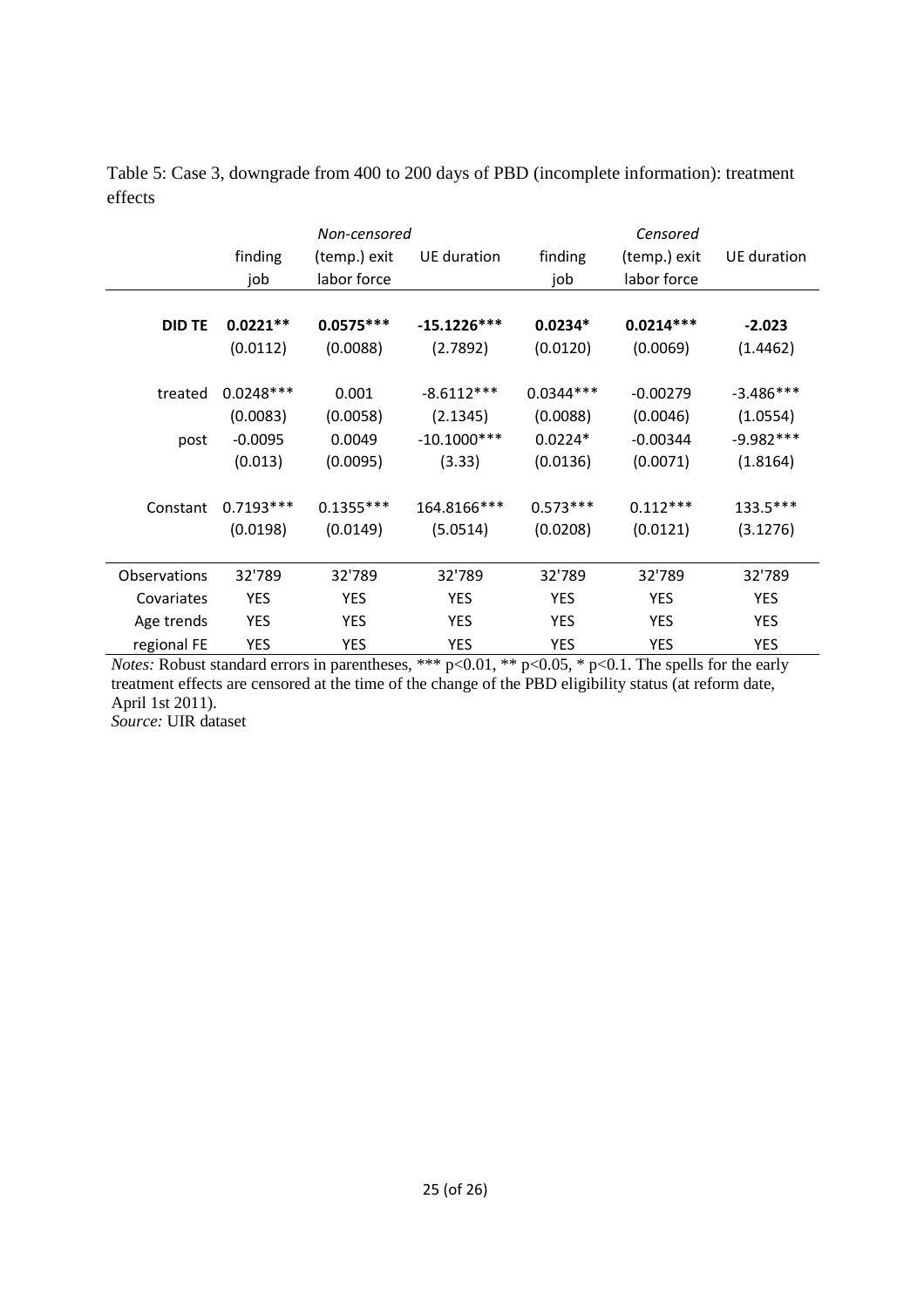|               | finding     | Non-censored<br>(temp.) exit | UE duration   | finding     | Censored<br>(temp.) exit | UE duration |
|---------------|-------------|------------------------------|---------------|-------------|--------------------------|-------------|
|               | job         | labor force                  |               | job         | labor force              |             |
| <b>DID TE</b> | $0.0221**$  | $0.0575***$                  | $-15.1226***$ | $0.0234*$   | $0.0214***$              | $-2.023$    |
|               | (0.0112)    | (0.0088)                     | (2.7892)      | (0.0120)    | (0.0069)                 | (1.4462)    |
|               |             |                              |               |             |                          |             |
| treated       | $0.0248***$ | 0.001                        | $-8.6112***$  | $0.0344***$ | $-0.00279$               | $-3.486***$ |
|               | (0.0083)    | (0.0058)                     | (2.1345)      | (0.0088)    | (0.0046)                 | (1.0554)    |
| post          | $-0.0095$   | 0.0049                       | $-10.1000***$ | $0.0224*$   | $-0.00344$               | $-9.982***$ |
|               | (0.013)     | (0.0095)                     | (3.33)        | (0.0136)    | (0.0071)                 | (1.8164)    |
|               |             |                              |               |             |                          |             |
| Constant      | $0.7193***$ | $0.1355***$                  | 164.8166***   | $0.573***$  | $0.112***$               | 133.5***    |
|               | (0.0198)    | (0.0149)                     | (5.0514)      | (0.0208)    | (0.0121)                 | (3.1276)    |
|               |             |                              |               |             |                          |             |
| Observations  | 32'789      | 32'789                       | 32'789        | 32'789      | 32'789                   | 32'789      |
| Covariates    | YES         | <b>YES</b>                   | YES           | <b>YES</b>  | <b>YES</b>               | <b>YES</b>  |
| Age trends    | <b>YES</b>  | <b>YES</b>                   | <b>YES</b>    | <b>YES</b>  | <b>YES</b>               | <b>YES</b>  |
| regional FE   | <b>YES</b>  | YES                          | <b>YES</b>    | YES         | <b>YES</b>               | <b>YES</b>  |

Table 5: Case 3, downgrade from 400 to 200 days of PBD (incomplete information): treatment effects

*Notes:* Robust standard errors in parentheses, \*\*\* p<0.01, \*\* p<0.05, \* p<0.1. The spells for the early treatment effects are censored at the time of the change of the PBD eligibility status (at reform date, April 1st 2011).

*Source:* UIR dataset